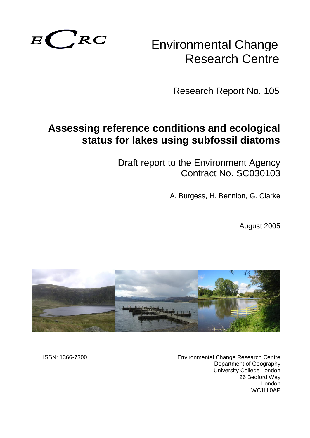

# Environmental Change Research Centre

Research Report No. 105

# **Assessing reference conditions and ecological status for lakes using subfossil diatoms**

Draft report to the Environment Agency Contract No. SC030103

A. Burgess, H. Bennion, G. Clarke

August 2005



ISSN: 1366-7300 Environmental Change Research Centre Department of Geography University College London 26 Bedford Way London WC1H 0AP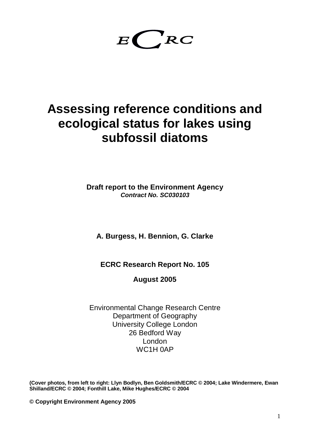$E$   $RC$ 

# **Assessing reference conditions and ecological status for lakes using subfossil diatoms**

**Draft report to the Environment Agency** *Contract No. SC030103*

**A. Burgess, H. Bennion, G. Clarke**

**ECRC Research Report No. 105**

**August 2005**

Environmental Change Research Centre Department of Geography University College London 26 Bedford Way London WC1H 0AP

**(Cover photos, from left to right: Llyn Bodlyn, Ben Goldsmith/ECRC © 2004; Lake Windermere, Ewan Shilland/ECRC © 2004; Fonthill Lake, Mike Hughes/ECRC © 2004**

**© Copyright Environment Agency 2005**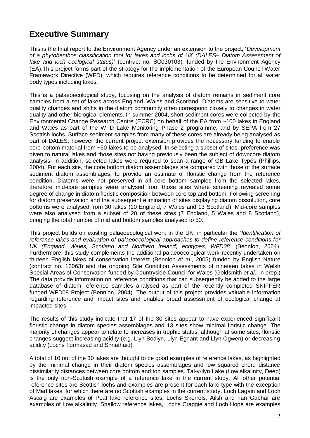### **Executive Summary**

This is the final report to the Environment Agency under an extension to the project, '*Development of a phytobenthos classification tool for lakes and lochs of UK (DALES– Diatom Assessment of lake and loch ecological status)*' (contract no. SC030103)*,* funded by the Environment Agency (EA).This project forms part of the strategy for the implementation of the European Council Water Framework Directive (WFD), which requires reference conditions to be determined for all water body types including lakes.

This is a palaeoecological study, focusing on the analysis of diatom remains in sediment core samples from a set of lakes across England, Wales and Scotland. Diatoms are sensitive to water quality changes and shifts in the diatom community often correspond closely to changes in water quality and other biological elements. In summer 2004, short sediment cores were collected by the Environmental Change Research Centre (ECRC) on behalf of the EA from ~100 lakes in England and Wales as part of the WFD Lake Monitoring Phase 2 programme, and by SEPA from 27 Scottish lochs. Surface sediment samples from many of these cores are already being analysed as part of DALES, however the current project extension provides the necessary funding to enable core bottom material from ~50 lakes to be analysed. In selecting a subset of sites, preference was given to natural lakes and those sites not having previously been the subject of downcore diatom analysis. In addition, selected lakes were required to span a range of GB Lake Types (Phillips, 2004). For each site, the core bottom diatom assemblages are compared with those of the surface sediment diatom assemblages, to provide an estimate of floristic change from the reference condition. Diatoms were not preserved in all core bottom samples from the selected lakes, therefore mid-core samples were analysed from those sites where screening revealed some degree of change in diatom floristic composition between core top and bottom. Following screening for diatom preservation and the subsequent elimination of sites displaying diatom dissolution, core bottoms were analysed from 30 lakes (10 England, 7 Wales and 13 Scotland). Mid-core samples were also analysed from a subset of 20 of these sites (7 England, 5 Wales and 8 Scotland), bringing the total number of mid and bottom samples analysed to 50.

This project builds on existing palaeoecological work in the UK, in particular the '*Identification of reference lakes and evaluation of palaeoecological approaches to define reference conditions for UK (England, Wales, Scotland and Northern Ireland) ecotypes, WFD08*' (Bennion, 2004). Furthermore, this study complements the additional palaeoecological work recently undertaken on thirteen English lakes of conservation interest (Bennion *et al*., 2005) funded by English Nature (contract no. 13063) and the ongoing Site Condition Assessments of nineteen lakes in Welsh Special Areas of Conservation funded by Countryside Council for Wales (Goldsmith *et al*., in prep.) The data provide information on reference conditions that can subsequently be added to the large database of diatom reference samples analysed as part of the recently completed SNIFFER funded WFD08 Project (Bennion, 2004). The output of this project provides valuable information regarding reference and impact sites and enables broad assessment of ecological change at impacted sites.

The results of this study indicate that 17 of the 30 sites appear to have experienced significant floristic change in diatom species assemblages and 13 sites show minimal floristic change. The majority of changes appear to relate to increases in trophic status, although at some sites, floristic changes suggest increasing acidity (e.g. Llyn Bodlyn, Llyn Egnant and Llyn Ogwen) or decreasing acidity (Lochs Tormasad and Shnathaid).

A total of 10 out of the 30 lakes are thought to be good examples of reference lakes, as highlighted by the minimal change in their diatom species assemblages and low squared chord distance dissimilarity distances between core bottom and top samples. Tal-y-llyn Lake (Low alkalinity, Deep) is the only non-Scottish example of a reference lake in the current study. All other potential reference sites are Scottish lochs and examples are present for each lake type with the exception of Marl lakes, for which there are no Scottish examples in the current study. Loch Lagain and Loch Ascaig are examples of Peat lake reference sites, Lochs Skerrols, Ailsh and nan Gabhar are examples of Low alkalinity, Shallow reference lakes, Lochs Craggie and Loch Hope are examples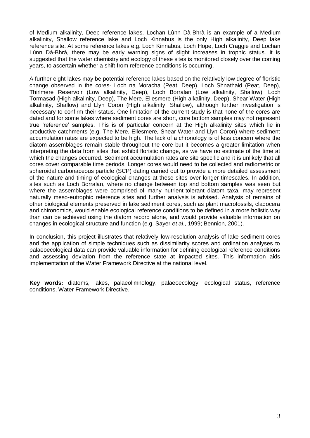of Medium alkalinity, Deep reference lakes, Lochan Lùnn Dà-Bhrà is an example of a Medium alkalinity, Shallow reference lake and Loch Kinnabus is the only High alkalinity, Deep lake reference site. At some reference lakes e.g. Loch Kinnabus, Loch Hope, Loch Craggie and Lochan Lùnn Dà-Bhrà, there may be early warning signs of slight increases in trophic status. It is suggested that the water chemistry and ecology of these sites is monitored closely over the coming years, to ascertain whether a shift from reference conditions is occurring.

A further eight lakes may be potential reference lakes based on the relatively low degree of floristic change observed in the cores- Loch na Moracha (Peat, Deep), Loch Shnathaid (Peat, Deep), Thirlmere Reservoir (Low alkalinity, Deep), Loch Borralan (Low alkalinity, Shallow), Loch Tormasad (High alkalinity, Deep), The Mere, Ellesmere (High alkalinity, Deep), Shear Water (High alkalinity, Shallow) and Llyn Coron (High alkalinity, Shallow), although further investigation is necessary to confirm their status. One limitation of the current study is that none of the cores are dated and for some lakes where sediment cores are short, core bottom samples may not represent true 'reference' samples. This is of particular concern at the High alkalinity sites which lie in productive catchments (e.g. The Mere, Ellesmere, Shear Water and Llyn Coron) where sediment accumulation rates are expected to be high. The lack of a chronology is of less concern where the diatom assemblages remain stable throughout the core but it becomes a greater limitation when interpreting the data from sites that exhibit floristic change, as we have no estimate of the time at which the changes occurred. Sediment accumulation rates are site specific and it is unlikely that all cores cover comparable time periods. Longer cores would need to be collected and radiometric or spheroidal carbonaceous particle (SCP) dating carried out to provide a more detailed assessment of the nature and timing of ecological changes at these sites over longer timescales. In addition, sites such as Loch Borralan, where no change between top and bottom samples was seen but where the assemblages were comprised of many nutrient-tolerant diatom taxa, may represent naturally meso-eutrophic reference sites and further analysis is advised. Analysis of remains of other biological elements preserved in lake sediment cores, such as plant macrofossils, cladocera and chironomids, would enable ecological reference conditions to be defined in a more holistic way than can be achieved using the diatom record alone, and would provide valuable information on changes in ecological structure and function (e.g. Sayer *et al*., 1999; Bennion, 2001).

In conclusion, this project illustrates that relatively low-resolution analysis of lake sediment cores and the application of simple techniques such as dissimilarity scores and ordination analyses to palaeoecological data can provide valuable information for defining ecological reference conditions and assessing deviation from the reference state at impacted sites. This information aids implementation of the Water Framework Directive at the national level.

**Key words:** diatoms, lakes, palaeolimnology, palaeoecology, ecological status, reference conditions, Water Framework Directive.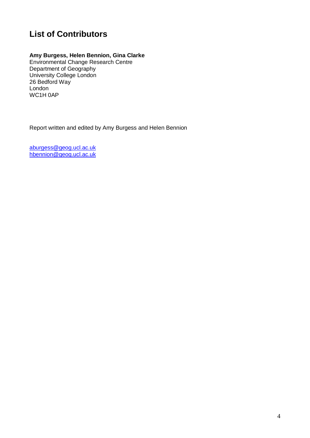# **List of Contributors**

### **Amy Burgess, Helen Bennion, Gina Clarke**

Environmental Change Research Centre Department of Geography University College London 26 Bedford Way London WC1H 0AP

Report written and edited by Amy Burgess and Helen Bennion

[aburgess@geog.ucl.ac.uk](mailto:aburgess@geog.ucl.ac.uk) [hbennion@geog.ucl.ac.uk](mailto:hbennion@geog.ucl.ac.uk)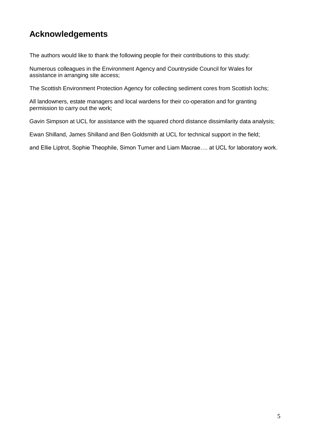## **Acknowledgements**

The authors would like to thank the following people for their contributions to this study:

Numerous colleagues in the Environment Agency and Countryside Council for Wales for assistance in arranging site access;

The Scottish Environment Protection Agency for collecting sediment cores from Scottish lochs;

All landowners, estate managers and local wardens for their co-operation and for granting permission to carry out the work;

Gavin Simpson at UCL for assistance with the squared chord distance dissimilarity data analysis;

Ewan Shilland, James Shilland and Ben Goldsmith at UCL for technical support in the field;

and Ellie Liptrot, Sophie Theophile, Simon Turner and Liam Macrae…. at UCL for laboratory work.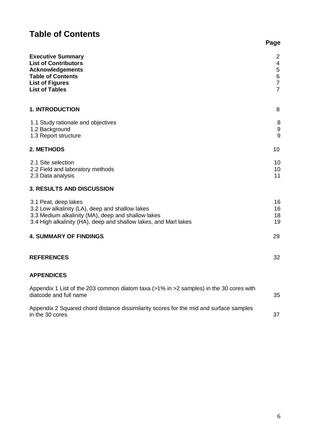# **Table of Contents**

| <b>Executive Summary</b><br><b>List of Contributors</b><br><b>Acknowledgements</b><br><b>Table of Contents</b><br><b>List of Figures</b><br><b>List of Tables</b>                                 | 2<br>$\overline{4}$<br>5<br>$\,6\,$<br>$\overline{7}$<br>$\overline{7}$ |
|---------------------------------------------------------------------------------------------------------------------------------------------------------------------------------------------------|-------------------------------------------------------------------------|
| <b>1. INTRODUCTION</b>                                                                                                                                                                            | 8                                                                       |
| 1.1 Study rationale and objectives<br>1.2 Background<br>1.3 Report structure                                                                                                                      | 8<br>$\boldsymbol{9}$<br>9                                              |
| 2. METHODS                                                                                                                                                                                        | 10                                                                      |
| 2.1 Site selection<br>2.2 Field and laboratory methods<br>2.3 Data analysis                                                                                                                       | 10<br>10<br>11                                                          |
| <b>3. RESULTS AND DISCUSSION</b>                                                                                                                                                                  |                                                                         |
| 3.1 Peat, deep lakes<br>3.2 Low alkalinity (LA), deep and shallow lakes<br>3.3 Medium alkalinity (MA), deep and shallow lakes<br>3.4 High alkalinity (HA), deep and shallow lakes, and Marl lakes | 16<br>16<br>18<br>19                                                    |
| <b>4. SUMMARY OF FINDINGS</b>                                                                                                                                                                     | 29                                                                      |
| <b>REFERENCES</b>                                                                                                                                                                                 | 32                                                                      |
| <b>APPENDICES</b>                                                                                                                                                                                 |                                                                         |
| Appendix 1 List of the 203 common diatom taxa $(>1\%$ in $>2$ samples) in the 30 cores with<br>diatcode and full name                                                                             | 35                                                                      |
| Appendix 2 Squared chord distance dissimilarity scores for the mid and surface samples<br>in the 30 cores                                                                                         | 37                                                                      |

**Page**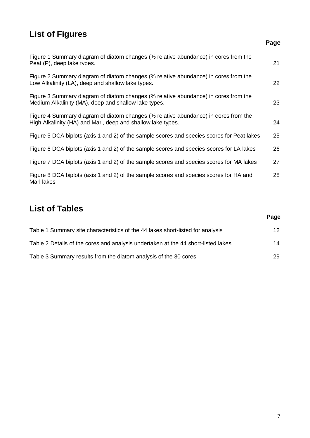# **List of Figures**

# **Page** Figure 1 Summary diagram of diatom changes (% relative abundance) in cores from the Peat (P), deep lake types. 21 Figure 2 Summary diagram of diatom changes (% relative abundance) in cores from the Low Alkalinity (LA), deep and shallow lake types. 22 Figure 3 Summary diagram of diatom changes (% relative abundance) in cores from the Medium Alkalinity (MA), deep and shallow lake types. 23 Figure 4 Summary diagram of diatom changes (% relative abundance) in cores from the High Alkalinity (HA) and Marl, deep and shallow lake types. 24 Figure 5 DCA biplots (axis 1 and 2) of the sample scores and species scores for Peat lakes 25 Figure 6 DCA biplots (axis 1 and 2) of the sample scores and species scores for LA lakes 26 Figure 7 DCA biplots (axis 1 and 2) of the sample scores and species scores for MA lakes 27 Figure 8 DCA biplots (axis 1 and 2) of the sample scores and species scores for HA and 28 Marl lakes

### **List of Tables**

|                                                                                   | $-29$             |
|-----------------------------------------------------------------------------------|-------------------|
| Table 1 Summary site characteristics of the 44 lakes short-listed for analysis    | $12 \overline{ }$ |
| Table 2 Details of the cores and analysis undertaken at the 44 short-listed lakes | 14                |
| Table 3 Summary results from the diatom analysis of the 30 cores                  | 29                |

**Page**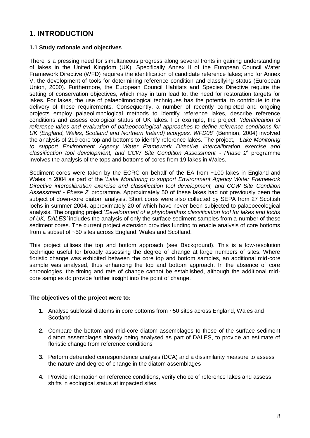### **1. INTRODUCTION**

#### **1.1 Study rationale and objectives**

There is a pressing need for simultaneous progress along several fronts in gaining understanding of lakes in the United Kingdom (UK). Specifically Annex II of the European Council Water Framework Directive (WFD) requires the identification of candidate reference lakes; and for Annex V, the development of tools for determining reference condition and classifying status (European Union, 2000). Furthermore, the European Council Habitats and Species Directive require the setting of conservation objectives, which may in turn lead to, the need for restoration targets for lakes. For lakes, the use of palaeolimnological techniques has the potential to contribute to the delivery of these requirements. Consequently, a number of recently completed and ongoing projects employ palaeolimnological methods to identify reference lakes, describe reference conditions and assess ecological status of UK lakes. For example, the project, '*Identification of reference lakes and evaluation of palaeoecological approaches to define reference conditions for UK (England, Wales, Scotland and Northern Ireland) ecotypes, WFD08*' (Bennion, 2004) involved the analysis of 219 core top and bottoms to identify reference lakes. The project, '*Lake Monitoring to support Environment Agency Water Framework Directive intercalibration exercise and classification tool development, and CCW Site Condition Assessment - Phase 2*' programme involves the analysis of the tops and bottoms of cores from 19 lakes in Wales.

Sediment cores were taken by the ECRC on behalf of the EA from ~100 lakes in England and Wales in 2004 as part of the '*Lake Monitoring to support Environment Agency Water Framework Directive intercalibration exercise and classification tool development, and CCW Site Condition Assessment - Phase 2*' programme. Approximately 50 of these lakes had not previously been the subject of down-core diatom analysis. Short cores were also collected by SEPA from 27 Scottish lochs in summer 2004, approximately 20 of which have never been subjected to palaeoecological analysis. The ongoing project '*Development of a phytobenthos classification tool for lakes and lochs of UK, DALES'* includes the analysis of only the surface sediment samples from a number of these sediment cores. The current project extension provides funding to enable analysis of core bottoms from a subset of ~50 sites across England, Wales and Scotland.

This project utilises the top and bottom approach (see Background). This is a low-resolution technique useful for broadly assessing the degree of change at large numbers of sites. Where floristic change was exhibited between the core top and bottom samples, an additional mid-core sample was analysed, thus enhancing the top and bottom approach. In the absence of core chronologies, the timing and rate of change cannot be established, although the additional midcore samples do provide further insight into the point of change.

#### **The objectives of the project were to:**

- **1.** Analyse subfossil diatoms in core bottoms from ~50 sites across England, Wales and **Scotland**
- **2.** Compare the bottom and mid-core diatom assemblages to those of the surface sediment diatom assemblages already being analysed as part of DALES, to provide an estimate of floristic change from reference conditions
- **3.** Perform detrended correspondence analysis (DCA) and a dissimilarity measure to assess the nature and degree of change in the diatom assemblages
- **4.** Provide information on reference conditions, verify choice of reference lakes and assess shifts in ecological status at impacted sites.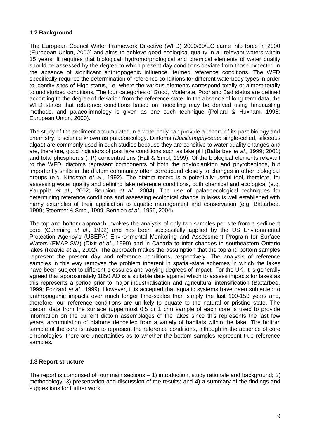#### **1.2 Background**

The European Council Water Framework Directive (WFD) 2000/60/EC came into force in 2000 (European Union, 2000) and aims to achieve good ecological quality in all relevant waters within 15 years. It requires that biological, hydromorphological and chemical elements of water quality should be assessed by the degree to which present day conditions deviate from those expected in the absence of significant anthropogenic influence, termed reference conditions. The WFD specifically requires the determination of reference conditions for different waterbody types in order to identify sites of High status, i.e. where the various elements correspond totally or almost totally to undisturbed conditions. The four categories of Good, Moderate, Poor and Bad status are defined according to the degree of deviation from the reference state. In the absence of long-term data, the WFD states that reference conditions based on modelling may be derived using hindcasting methods, and palaeolimnology is given as one such technique (Pollard & Huxham, 1998; European Union, 2000).

The study of the sediment accumulated in a waterbody can provide a record of its past biology and chemistry, a science known as palaeoecology. Diatoms (*Bacillariophyceae*: single-celled, siliceous algae) are commonly used in such studies because they are sensitive to water quality changes and are, therefore, good indicators of past lake conditions such as lake pH (Battarbee *et al.,* 1999; 2001) and total phosphorus (TP) concentrations (Hall & Smol, 1999). Of the biological elements relevant to the WFD, diatoms represent components of both the phytoplankton and phytobenthos, but importantly shifts in the diatom community often correspond closely to changes in other biological groups (e.g. Kingston *et al*., 1992). The diatom record is a potentially useful tool, therefore, for assessing water quality and defining lake reference conditions, both chemical and ecological (e.g. Kauppila *et al*., 2002; Bennion *et al*., 2004). The use of palaeoecological techniques for determining reference conditions and assessing ecological change in lakes is well established with many examples of their application to aquatic management and conservation (e.g. Battarbee, 1999; Stoermer & Smol, 1999; Bennion *et al*., 1996, 2004).

The top and bottom approach involves the analysis of only two samples per site from a sediment core (Cumming *et al*., 1992) and has been successfully applied by the US Environmental Protection Agency's (USEPA) Environmental Monitoring and Assessment Program for Surface Waters (EMAP-SW) (Dixit *et al*., 1999) and in Canada to infer changes in southeastern Ontario lakes (Reavie *et al*., 2002). The approach makes the assumption that the top and bottom samples represent the present day and reference conditions, respectively. The analysis of reference samples in this way removes the problem inherent in spatial-state schemes in which the lakes have been subject to different pressures and varying degrees of impact. For the UK, it is generally agreed that approximately 1850 AD is a suitable date against which to assess impacts for lakes as this represents a period prior to major industrialisation and agricultural intensification (Battarbee, 1999; Fozzard *et al*., 1999). However, it is accepted that aquatic systems have been subjected to anthropogenic impacts over much longer time-scales than simply the last 100-150 years and, therefore, our reference conditions are unlikely to equate to the natural or pristine state. The diatom data from the surface (uppermost 0.5 or 1 cm) sample of each core is used to provide information on the current diatom assemblages of the lakes since this represents the last few years' accumulation of diatoms deposited from a variety of habitats within the lake. The bottom sample of the core is taken to represent the reference conditions, although in the absence of core chronologies, there are uncertainties as to whether the bottom samples represent true reference samples.

#### **1.3 Report structure**

The report is comprised of four main sections  $-1$ ) introduction, study rationale and background; 2) methodology; 3) presentation and discussion of the results; and 4) a summary of the findings and suggestions for further work.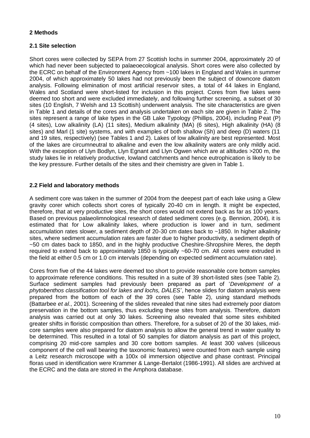#### **2 Methods**

#### **2.1 Site selection**

Short cores were collected by SEPA from 27 Scottish lochs in summer 2004, approximately 20 of which had never been subjected to palaeoecological analysis. Short cores were also collected by the ECRC on behalf of the Environment Agency from ~100 lakes in England and Wales in summer 2004, of which approximately 50 lakes had not previously been the subject of downcore diatom analysis. Following elimination of most artificial reservoir sites, a total of 44 lakes in England, Wales and Scotland were short-listed for inclusion in this project. Cores from five lakes were deemed too short and were excluded immediately, and following further screening, a subset of 30 sites (10 English, 7 Welsh and 13 Scottish) underwent analysis. The site characteristics are given in Table 1 and details of the cores and analysis undertaken on each site are given in Table 2. The sites represent a range of lake types in the GB Lake Typology (Phillips, 2004), including Peat (P) (4 sites), Low alkalinity (LA) (11 sites), Medium alkalinity (MA) (6 sites), High alkalinity (HA) (8 sites) and Marl (1 site) systems, and with examples of both shallow (Sh) and deep (D) waters (11 and 19 sites, respectively) (see Tables 1 and 2). Lakes of low alkalinity are best represented. Most of the lakes are circumneutral to alkaline and even the low alkalinity waters are only mildly acid. With the exception of Llyn Bodlyn, Llyn Egnant and Llyn Ogwen which are at altitudes >200 m, the study lakes lie in relatively productive, lowland catchments and hence eutrophication is likely to be the key pressure. Further details of the sites and their chemistry are given in Table 1.

#### **2.2 Field and laboratory methods**

A sediment core was taken in the summer of 2004 from the deepest part of each lake using a Glew gravity corer which collects short cores of typically 20-40 cm in length. It might be expected, therefore, that at very productive sites, the short cores would not extend back as far as 100 years. Based on previous palaeolimnological research of dated sediment cores (e.g. Bennion, 2004), it is estimated that for Low alkalinity lakes, where production is lower and in turn, sediment accumulation rates slower, a sediment depth of 20-30 cm dates back to ~1850. In higher alkalinity sites, where sediment accumulation rates are faster due to higher productivity, a sediment depth of ~50 cm dates back to 1850, and in the highly productive Cheshire-Shropshire Meres, the depth required to extend back to approximately 1850 is typically ~60-70 cm. All cores were extruded in the field at either 0.5 cm or 1.0 cm intervals (depending on expected sediment accumulation rate).

Cores from five of the 44 lakes were deemed too short to provide reasonable core bottom samples to approximate reference conditions. This resulted in a suite of 39 short-listed sites (see Table 2). Surface sediment samples had previously been prepared as part of '*Development of a phytobenthos classification tool for lakes and lochs, DALES*', hence slides for diatom analysis were prepared from the bottom of each of the 39 cores (see Table 2), using standard methods (Battarbee *et al*., 2001). Screening of the slides revealed that nine sites had extremely poor diatom preservation in the bottom samples, thus excluding these sites from analysis. Therefore, diatom analysis was carried out at only 30 lakes. Screening also revealed that some sites exhibited greater shifts in floristic composition than others. Therefore, for a subset of 20 of the 30 lakes, midcore samples were also prepared for diatom analysis to allow the general trend in water quality to be determined. This resulted in a total of 50 samples for diatom analysis as part of this project, comprising 20 mid-core samples and 30 core bottom samples. At least 300 valves (siliceous component of the cell wall bearing the taxonomic features) were counted from each sample using a Leitz research microscope with a 100x oil immersion objective and phase contrast. Principal floras used in identification were Krammer & Lange-Bertalot (1986-1991). All slides are archived at the ECRC and the data are stored in the Amphora database.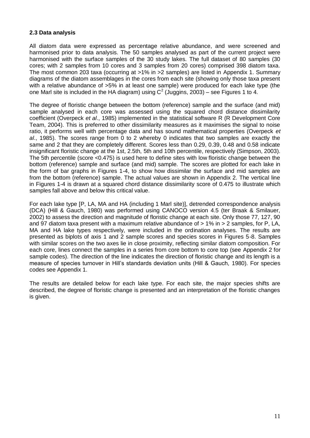#### **2.3 Data analysis**

All diatom data were expressed as percentage relative abundance, and were screened and harmonised prior to data analysis. The 50 samples analysed as part of the current project were harmonised with the surface samples of the 30 study lakes. The full dataset of 80 samples (30 cores; with 2 samples from 10 cores and 3 samples from 20 cores) comprised 398 diatom taxa. The most common 203 taxa (occurring at >1% in >2 samples) are listed in Appendix 1. Summary diagrams of the diatom assemblages in the cores from each site (showing only those taxa present with a relative abundance of >5% in at least one sample) were produced for each lake type (the one Marl site is included in the HA diagram) using  $C^2$  (Juggins, 2003) – see Figures 1 to 4.

The degree of floristic change between the bottom (reference) sample and the surface (and mid) sample analysed in each core was assessed using the squared chord distance dissimilarity coefficient (Overpeck *et al*., 1985) implemented in the statistical software R (R Development Core Team, 2004). This is preferred to other dissimilarity measures as it maximises the signal to noise ratio, it performs well with percentage data and has sound mathematical properties (Overpeck *et al*., 1985). The scores range from 0 to 2 whereby 0 indicates that two samples are exactly the same and 2 that they are completely different. Scores less than 0.29, 0.39, 0.48 and 0.58 indicate insignificant floristic change at the 1st, 2.5th, 5th and 10th percentile, respectively (Simpson, 2003). The 5th percentile (score  $\leq$ 0.475) is used here to define sites with low floristic change between the bottom (reference) sample and surface (and mid) sample. The scores are plotted for each lake in the form of bar graphs in Figures 1-4, to show how dissimilar the surface and mid samples are from the bottom (reference) sample. The actual values are shown in Appendix 2. The vertical line in Figures 1-4 is drawn at a squared chord distance dissimilarity score of 0.475 to illustrate which samples fall above and below this critical value.

For each lake type [P, LA, MA and HA (including 1 Marl site)], detrended correspondence analysis (DCA) (Hill & Gauch, 1980) was performed using CANOCO version 4.5 (ter Braak & Smilauer, 2002) to assess the direction and magnitude of floristic change at each site. Only those 77, 127, 90 and 97 diatom taxa present with a maximum relative abundance of > 1% in > 2 samples, for P, LA, MA and HA lake types respectively, were included in the ordination analyses. The results are presented as biplots of axis 1 and 2 sample scores and species scores in Figures 5-8. Samples with similar scores on the two axes lie in close proximity, reflecting similar diatom composition. For each core, lines connect the samples in a series from core bottom to core top (see Appendix 2 for sample codes). The direction of the line indicates the direction of floristic change and its length is a measure of species turnover in Hill's standards deviation units (Hill & Gauch, 1980). For species codes see Appendix 1.

The results are detailed below for each lake type. For each site, the major species shifts are described, the degree of floristic change is presented and an interpretation of the floristic changes is given.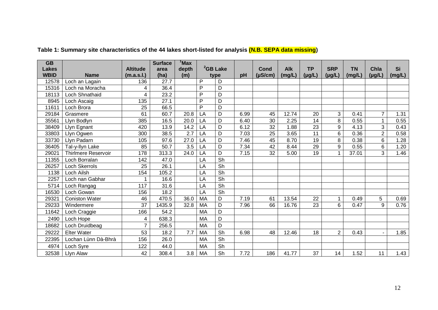| $\overline{GB}$ |                       |                 | <b>Surface</b> | 'Max  |              |                          |      |                 |            |             |                |           |                |        |
|-----------------|-----------------------|-----------------|----------------|-------|--------------|--------------------------|------|-----------------|------------|-------------|----------------|-----------|----------------|--------|
| <b>Lakes</b>    |                       | <b>Altitude</b> | area           | depth |              | <sup>2</sup> GB Lake     |      | Cond            | <b>Alk</b> | <b>TP</b>   | <b>SRP</b>     | <b>TN</b> | Chla           | Si     |
| <b>WBID</b>     | <b>Name</b>           | (m.a.s.l.)      | (ha)           | (m)   |              | type                     | pH   | $(\mu S/cm)$    | (mg/L)     | $(\mu g/L)$ | $(\mu g/L)$    | (mg/L)    | $(\mu g/L)$    | (mg/L) |
| 12578           | Loch an Lagain        | 136             | 27.7           |       | P            | D                        |      |                 |            |             |                |           |                |        |
| 15316           | Loch na Moracha       | 4               | 36.4           |       | P            | D                        |      |                 |            |             |                |           |                |        |
| 18113           | Loch Shnathaid        | 4               | 23.2           |       | P            | D                        |      |                 |            |             |                |           |                |        |
| 8945            | Loch Ascaig           | 135             | 27.1           |       | $\mathsf{P}$ | D                        |      |                 |            |             |                |           |                |        |
| 11611           | Loch Brora            | 25              | 66.5           |       | $\mathsf{P}$ | D                        |      |                 |            |             |                |           |                |        |
| 29184           | Grasmere              | 61              | 60.7           | 20.8  | LA           | D                        | 6.99 | 45              | 12.74      | 20          | 3              | 0.41      | 7              | 1.31   |
| 35561           | Llyn Bodlyn           | 385             | 16.5           | 20.0  | LA           | D                        | 6.40 | 30              | 2.25       | 14          | 8              | 0.55      | $\mathbf{1}$   | 0.55   |
| 38409           | Llyn Egnant           | 420             | 13.9           | 14.2  | LA           | D                        | 6.12 | 32              | 1.88       | 23          | 9              | 4.13      | 3              | 0.43   |
| 33803           | Llyn Ogwen            | 300             | 38.5           | 2.7   | LA           | D                        | 7.03 | $\overline{25}$ | 3.65       | 11          | 6              | 0.36      | $\overline{2}$ | 0.58   |
| 33730           | Llyn Padarn           | 105             | 97.6           | 27.0  | LA           | D                        | 7.46 | 45              | 8.70       | 19          | 8              | 0.38      | 6              | 1.28   |
| 36405           | Tal-y-llyn Lake       | 85              | 50.7           | 3.5   | LA           | D                        | 7.34 | 42              | 8.44       | 29          | 9              | 0.55      | 6              | 1.20   |
| 29021           | Thirlmere Reservoir   | 178             | 313.3          | 24.0  | LA           | D                        | 7.15 | 32              | 5.00       | 19          | $\mathbf 1$    | 37.01     | 3              | 1.46   |
| 11355           | Loch Borralan         | 142             | 47.0           |       | LA           | $\overline{\mathsf{Sh}}$ |      |                 |            |             |                |           |                |        |
| 26257           | <b>Loch Skerrols</b>  | 25              | 26.1           |       | LA           | Sh                       |      |                 |            |             |                |           |                |        |
| 1138            | Loch Ailsh            | 154             | 105.2          |       | LA           | $\overline{\mathsf{Sh}}$ |      |                 |            |             |                |           |                |        |
| 2257            | Loch nan Gabhar       |                 | 16.6           |       | LA           | Sh                       |      |                 |            |             |                |           |                |        |
| 5714            | Loch Rangag           | 117             | 31.6           |       | LA           | $\overline{\mathsf{Sh}}$ |      |                 |            |             |                |           |                |        |
| 16530           | Loch Gowan            | 156             | 18.2           |       | LA           | $\overline{\mathsf{Sh}}$ |      |                 |            |             |                |           |                |        |
| 29321           | <b>Coniston Water</b> | 46              | 470.5          | 36.0  | <b>MA</b>    | D                        | 7.19 | 61              | 13.54      | 22          | $\mathbf{1}$   | 0.49      | 5              | 0.69   |
| 29233           | Windermere            | 37              | 1435.9         | 32.8  | MA           | D                        | 7.96 | 66              | 16.76      | 23          | 6              | 0.47      | 9              | 0.76   |
| 11642           | Loch Craggie          | 166             | 54.2           |       | <b>MA</b>    | D                        |      |                 |            |             |                |           |                |        |
| 2490            | Loch Hope             | 4               | 638.3          |       | <b>MA</b>    | D                        |      |                 |            |             |                |           |                |        |
| 18682           | Loch Druidbeag        | $\overline{7}$  | 256.5          |       | <b>MA</b>    | D                        |      |                 |            |             |                |           |                |        |
| 29222           | <b>Elter Water</b>    | 53              | 18.2           | 7.7   | <b>MA</b>    | Sh                       | 6.98 | 48              | 12.46      | 18          | $\overline{2}$ | 0.43      |                | 1.85   |
| 22395           | Lochan Lùnn Dà-Bhrà   | 156             | 26.0           |       | MA           | Sh                       |      |                 |            |             |                |           |                |        |
| 4974            | Loch Syre             | 122             | 44.0           |       | <b>MA</b>    | Sh                       |      |                 |            |             |                |           |                |        |
| 32538           | Llyn Alaw             | 42              | 308.4          | 3.8   | <b>MA</b>    | Sh                       | 7.72 | 186             | 41.77      | 37          | 14             | 1.52      | 11             | 1.43   |

### **Table 1: Summary site characteristics of the 44 lakes short-listed for analysis (N.B. SEPA data missing)**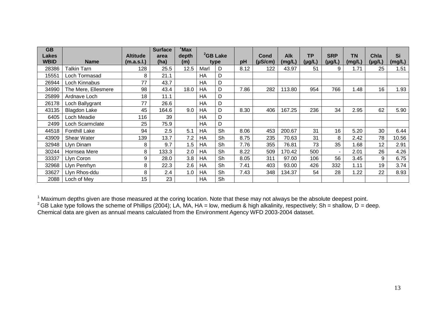| <b>GB</b><br><b>Lakes</b> |                      | <b>Altitude</b> | <b>Surface</b><br>area | <sup>1</sup> Max<br>depth |           | <sup>2</sup> GB Lake |      | Cond         | Alk    | <b>TP</b>   | <b>SRP</b>               | <b>TN</b> | Chla            | Si     |
|---------------------------|----------------------|-----------------|------------------------|---------------------------|-----------|----------------------|------|--------------|--------|-------------|--------------------------|-----------|-----------------|--------|
| <b>WBID</b>               | <b>Name</b>          | (m.a.s.l.)      | (ha)                   | (m)                       |           | type                 | рH   | $(\mu S/cm)$ | (mg/L) | $(\mu g/L)$ | $(\mu g/L)$              | (mg/L)    | $(\mu g/L)$     | (mg/L) |
| 28386                     | <b>Talkin Tarn</b>   | 128             | 25.5                   | 12.5                      | Marl      | D                    | 8.12 | 122          | 43.97  | 51          | 9                        | 1.71      | 25              | 1.51   |
| 15551                     | Loch Tormasad        | 8               | 21.1                   |                           | HA        | D                    |      |              |        |             |                          |           |                 |        |
| 26944                     | Loch Kinnabus        | 77              | 43.7                   |                           | <b>HA</b> | D                    |      |              |        |             |                          |           |                 |        |
| 34990                     | The Mere, Ellesmere  | 98              | 43.4                   | 18.0                      | HA        | D                    | 7.86 | 282          | 113.80 | 954         | 766                      | 1.48      | 16              | 1.93   |
| 25899                     | Ardnave Loch         | 18              | 11.1                   |                           | <b>HA</b> | D                    |      |              |        |             |                          |           |                 |        |
| 26178                     | Loch Ballygrant      | 77              | 26.6                   |                           | <b>HA</b> | D                    |      |              |        |             |                          |           |                 |        |
| 43135                     | <b>Blagdon Lake</b>  | 45              | 164.6                  | 9.0                       | HA        | D                    | 8.30 | 406          | 167.25 | 236         | 34                       | 2.95      | 62              | 5.90   |
| 6405                      | Loch Meadie          | 116             | 39                     |                           | <b>HA</b> | D                    |      |              |        |             |                          |           |                 |        |
| 2499                      | Loch Scarmclate      | 25              | 75.9                   |                           | HA        | D                    |      |              |        |             |                          |           |                 |        |
| 44518                     | <b>Fonthill Lake</b> | 94              | 2.5                    | 5.1                       | HA        | Sh                   | 8.06 | 453          | 200.67 | 31          | 16                       | 5.20      | 30              | 6.44   |
| 43909                     | <b>Shear Water</b>   | 139             | 13.7                   | 7.2                       | HA        | Sh                   | 8.75 | 235          | 70.63  | 31          | 8                        | 2.42      | 78              | 10.56  |
| 32948                     | Llyn Dinam           | 8               | 9.7                    | 1.5                       | HA        | Sh                   | 7.76 | 355          | 76.81  | 73          | 35                       | 1.68      | 12 <sup>2</sup> | 2.91   |
| 30244                     | Hornsea Mere         | 8               | 133.3                  | 2.0                       | HA        | Sh                   | 8.22 | 509          | 170.42 | 500         | $\overline{\phantom{a}}$ | 2.01      | 26              | 4.26   |
| 33337                     | Llyn Coron           | 9               | 28.0                   | 3.8                       | HA        | Sh                   | 8.05 | 311          | 97.00  | 106         | 56                       | 3.45      | 9               | 6.75   |
| 32968                     | Llyn Penrhyn         | 8               | 22.3                   | 2.6                       | HA        | Sh                   | 7.41 | 403          | 93.00  | 426         | 332                      | 1.11      | 19              | 3.74   |
| 33627                     | Llyn Rhos-ddu        | 8               | 2.4                    | 1.0                       | HA        | Sh                   | 7.43 | 348          | 134.37 | 54          | 28                       | 1.22      | 22              | 8.93   |
| 2088                      | Loch of Mey          | 15              | 23                     |                           | <b>HA</b> | Sh                   |      |              |        |             |                          |           |                 |        |

 $1$  Maximum depths given are those measured at the coring location. Note that these may not always be the absolute deepest point. <sup>2</sup> GB Lake type follows the scheme of Phillips (2004); LA, MA, HA = low, medium & high alkalinity, respectively; Sh = shallow, D = deep. Chemical data are given as annual means calculated from the Environment Agency WFD 2003-2004 dataset.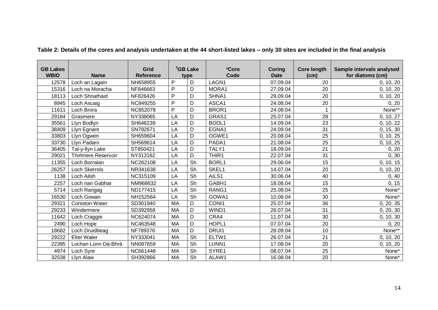| <b>GB Lakes</b><br><b>WBID</b> | <b>Name</b>                | Grid<br><b>Reference</b> |           | <sup>1</sup> GB Lake<br>type | <sup>2</sup> Core<br>Code | Coring<br><b>Date</b> | <b>Core length</b><br>(c <sub>m</sub> ) | Sample intervals analysed<br>for diatoms (cm) |
|--------------------------------|----------------------------|--------------------------|-----------|------------------------------|---------------------------|-----------------------|-----------------------------------------|-----------------------------------------------|
| 12578                          | Loch an Lagain             | NH658955                 | P         | D                            | LAGN1                     | 07.09.04              | 20                                      | 0, 10, 20                                     |
| 15316                          | Loch na Moracha            | NF846663                 | P         | D                            | MORA1                     | 27.09.04              | 20                                      | 0, 10, 20                                     |
| 18113                          | Loch Shnathaid             | NF826426                 | P         | D                            | SHNA1                     | 29.09.04              | 20                                      | 0, 10, 20                                     |
| 8945                           | Loch Ascaig                | NC849255                 | P         | D                            | ASCA1                     | 24.08.04              | 20                                      | 0, 20                                         |
| 11611                          | Loch Brora                 | NC852078                 | P         | D                            | BROR1                     | 24.08.04              | 1                                       | None**                                        |
| 29184                          | Grasmere                   | NY338065                 | LA        | D                            | GRAS1                     | 25.07.04              | 28                                      | 0, 10, 27                                     |
| 35561                          | Llyn Bodlyn                | SH648239                 | LA        | D                            | BODL1                     | 14.09.04              | $\overline{23}$                         | 0, 10, 22                                     |
| 38409                          | Llyn Egnant                | SN792671                 | LA        | D                            | EGNA1                     | 24.09.04              | 31                                      | 0, 15, 30                                     |
| 33803                          | Llyn Ogwen                 | SH659604                 | LA        | D                            | OGWE1                     | 20.08.04              | 25                                      | 0, 10, 25                                     |
| 33730                          | Llyn Padarn                | SH569614                 | LA        | D                            | PADA1                     | 21.08.04              | 25                                      | 0, 10, 25                                     |
| 36405                          | Tal-y-llyn Lake            | ST850421                 | LA        | D                            | TALY1                     | 18.09.04              | 21                                      | 0, 20                                         |
| 29021                          | <b>Thirlmere Reservoir</b> | NY313162                 | LA        | D                            | THIR1                     | 22.07.04              | 31                                      | 0, 30                                         |
| 11355                          | Loch Borralan              | NC262108                 | LA        | Sh                           | <b>BORL1</b>              | 29.06.04              | 15                                      | 0, 10, 15                                     |
| 26257                          | <b>Loch Skerrols</b>       | NR341638                 | LA        | Sh                           | SKEL1                     | 14.07.04              | 20                                      | 0, 10, 20                                     |
| 1138                           | Loch Ailsh                 | NC315109                 | LA        | Sh                           | AILS1                     | 30.06.04              | 40                                      | 0, 40                                         |
| 2257                           | Loch nan Gabhar            | NM968632                 | LA        | Sh                           | GABH1                     | 18.08.04              | 15                                      | 0, 15                                         |
| 5714                           | Loch Rangag                | ND177415                 | LA        | Sh                           | RANG1                     | 25.08.04              | 25                                      | None*                                         |
| 16530                          | Loch Gowan                 | NH152564                 | LA        | Sh                           | GOWA1                     | 10.08.04              | 30                                      | None*                                         |
| 29321                          | <b>Coniston Water</b>      | SD301940                 | <b>MA</b> | D                            | CONI1                     | 25.07.04              | 36                                      | 0, 20, 35                                     |
| 29233                          | Windermere                 | SD392958                 | <b>MA</b> | D                            | WIND1                     | 26.07.04              | 31                                      | 0, 20, 30                                     |
| 11642                          | Loch Craggie               | NC624074                 | MA        | D                            | CRA4                      | 11.07.04              | 30                                      | 0, 10, 30                                     |
| 2490                           | Loch Hope                  | NC463548                 | <b>MA</b> | D                            | HOPL1                     | 07.07.04              | 20                                      | 0, 20                                         |
| 18682                          | Loch Druidbeag             | NF789376                 | MA        | D                            | DRUI1                     | 28.09.04              | 10                                      | None**                                        |
| 29222                          | <b>Elter Water</b>         | NY333041                 | MA        | Sh                           | ELTW1                     | 26.07.04              | 21                                      | 0, 10, 20                                     |
| 22395                          | Lochan Lùnn Dà-Bhrà        | NN087659                 | MA        | Sh                           | LUNN1                     | 17.08.04              | 20                                      | 0, 10, 20                                     |
| 4974                           | Loch Syre                  | NC661448                 | <b>MA</b> | Sh                           | SYRE1                     | 08.07.04              | 25                                      | None*                                         |
| 32538                          | Llyn Alaw                  | SH392866                 | <b>MA</b> | Sh                           | ALAW1                     | 16.08.04              | 20                                      | None*                                         |

**Table 2: Details of the cores and analysis undertaken at the 44 short-listed lakes – only 30 sites are included in the final analysis**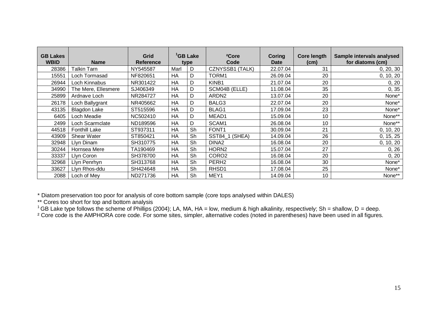| <b>GB Lakes</b><br><b>WBID</b> | <b>Name</b>          | Grid<br><b>Reference</b> |           | <sup>1</sup> GB Lake<br>type | <sup>2</sup> Core<br>Code | <b>Coring</b><br>Date | <b>Core length</b><br>(cm) | Sample intervals analysed<br>for diatoms (cm) |
|--------------------------------|----------------------|--------------------------|-----------|------------------------------|---------------------------|-----------------------|----------------------------|-----------------------------------------------|
| 28386                          | <b>Talkin Tarn</b>   | NY545587                 | Marl      | D                            | CZNYSSB1 (TALK)           | 22.07.04              | 31                         | 0, 20, 30                                     |
| 15551                          | Loch Tormasad        | NF820651                 | HA        | D                            | TORM1                     | 26.09.04              | 20                         | 0, 10, 20                                     |
| 26944                          | Loch Kinnabus        | NR301422                 | HA        | D                            | KINB1                     | 21.07.04              | 20                         | 0, 20                                         |
| 34990                          | The Mere, Ellesmere  | SJ406349                 | HA        | D                            | SCM04B (ELLE)             | 11.08.04              | 35                         | 0, 35                                         |
| 25899                          | Ardnave Loch         | NR284727                 | HA        | D                            | ARDN <sub>2</sub>         | 13.07.04              | 20                         | None*                                         |
| 26178                          | Loch Ballygrant      | NR405662                 | <b>HA</b> | D                            | BALG3                     | 22.07.04              | 20                         | None*                                         |
| 43135                          | <b>Blagdon Lake</b>  | ST515596                 | HA        | D                            | BLAG1                     | 17.09.04              | 23                         | None*                                         |
| 6405                           | Loch Meadie          | NC502410                 | HA        | D                            | MEAD1                     | 15.09.04              | 10                         | None**                                        |
| 2499                           | Loch Scarmclate      | ND189596                 | HA        | D                            | SCAM1                     | 26.08.04              | 10                         | None**                                        |
| 44518                          | <b>Fonthill Lake</b> | ST937311                 | HA        | Sh                           | FONT <sub>1</sub>         | 30.09.04              | 21                         | 0, 10, 20                                     |
| 43909                          | <b>Shear Water</b>   | ST850421                 | HA        | Sh                           | SST84_1<br>(SHEA)         | 14.09.04              | 26                         | 0, 15, 25                                     |
| 32948                          | Llyn Dinam           | SH310775                 | HA        | Sh                           | DINA <sub>2</sub>         | 16.08.04              | 20                         | 0, 10, 20                                     |
| 30244                          | Hornsea Mere         | TA190469                 | HA        | Sh                           | HORN <sub>2</sub>         | 15.07.04              | 27                         | 0, 26                                         |
| 33337                          | Llyn Coron           | SH378700                 | HA        | Sh                           | CORO <sub>2</sub>         | 16.08.04              | 20                         | 0, 20                                         |
| 32968                          | Llyn Penrhyn         | SH313768                 | HA        | Sh                           | PERH <sub>2</sub>         | 16.08.04              | 30                         | None*                                         |
| 33627                          | Llyn Rhos-ddu        | SH424648                 | HA        | Sh                           | RHSD1                     | 17.08.04              | 25                         | None*                                         |
| 2088                           | Loch of Mey          | ND271736                 | HA        | Sh                           | MEY1                      | 14.09.04              | 10                         | None**                                        |

\* Diatom preservation too poor for analysis of core bottom sample (core tops analysed within DALES)

\*\* Cores too short for top and bottom analysis

<sup>1</sup> GB Lake type follows the scheme of Phillips (2004); LA, MA, HA = low, medium & high alkalinity, respectively; Sh = shallow, D = deep.

<sup>2</sup> Core code is the AMPHORA core code. For some sites, simpler, alternative codes (noted in parentheses) have been used in all figures.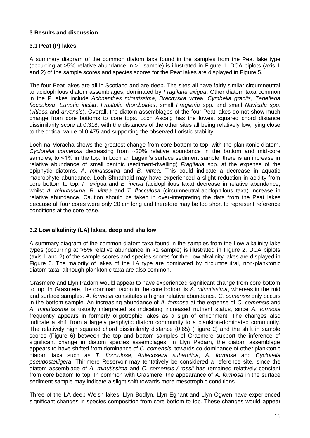#### **3 Results and discussion**

#### **3.1 Peat (P) lakes**

A summary diagram of the common diatom taxa found in the samples from the Peat lake type (occurring at >5% relative abundance in >1 sample) is illustrated in Figure 1. DCA biplots (axis 1 and 2) of the sample scores and species scores for the Peat lakes are displayed in Figure 5.

The four Peat lakes are all in Scotland and are deep. The sites all have fairly similar circumneutral to acidophilous diatom assemblages, dominated by *Fragilaria exigua*. Other diatom taxa common in the P lakes include *Achnanthes minutissima*, *Brachysira vi*trea, *Cymbella graciis*, *Tabellaria flocculosa*, *Eunotia incisa*, *Frustulia rhomboides*, small *Fragilaria* spp. and small *Navicula spp*. (*vitiosa* and *arvensis*). Overall, the diatom assemblages of the four Peat lakes do not show much change from core bottoms to core tops. Loch Ascaig has the lowest squared chord distance dissimilarity score at 0.318, with the distances of the other sites all being relatively low, lying close to the critical value of 0.475 and supporting the observed floristic stability.

Loch na Moracha shows the greatest change from core bottom to top, with the planktonic diatom, *Cyclotella comensis* decreasing from ~20% relative abundance in the bottom and mid-core samples, to <1% in the top. In Loch an Lagain's surface sediment sample, there is an increase in relative abundance of small benthic (sediment-dwelling) *Fragilaria* spp. at the expense of the epiphytic diatoms, *A. minutissima* and *B. vitrea*. This could indicate a decrease in aquatic macrophyte abundance. Loch Shnathaid may have experienced a slight reduction in acidity from core bottom to top. *F. exig*ua and *E. incisa* (acidophilous taxa) decrease in relative abundance, whilst *A. minutissima*, *B. vitrea* and *T. flocculosa* (circumneutral-acidophilous taxa) increase in relative abundance. Caution should be taken in over-interpreting the data from the Peat lakes because all four cores were only 20 cm long and therefore may be too short to represent reference conditions at the core base.

#### **3.2 Low alkalinity (LA) lakes, deep and shallow**

A summary diagram of the common diatom taxa found in the samples from the Low alkalinity lake types (occurring at >5% relative abundance in >1 sample) is illustrated in Figure 2. DCA biplots (axis 1 and 2) of the sample scores and species scores for the Low alkalinity lakes are displayed in Figure 6. The majority of lakes of the LA type are dominated by circumneutral, non-planktonic diatom taxa, although planktonic taxa are also common.

Grasmere and Llyn Padarn would appear to have experienced significant change from core bottom to top. In Grasmere, the dominant taxon in the core bottom is *A. minutissima*, whereas in the mid and surface samples, *A. formosa* constitutes a higher relative abundance. *C. comensis* only occurs in the bottom sample. An increasing abundance of *A. formosa* at the expense of *C. comensis* and *A. minutissima* is usually interpreted as indicating increased nutrient status, since *A. formosa* frequently appears in formerly oligotrophic lakes as a sign of enrichment. The changes also indicate a shift from a largely periphytic diatom community to a plankton-dominated community. The relatively high squared chord dissimilarity distance (0.65) (Figure 2) and the shift in sample scores (Figure 6) between the top and bottom samples of Grasmere support the inference of significant change in diatom species assemblages. In Llyn Padarn, the diatom assemblage appears to have shifted from dominance of *C. comensis*, towards co-dominance of other planktonic diatom taxa such as *T. flocculosa*, *Aulacoseira subarctica*, *A. formosa* and *Cyclotella pseudostelligera*. Thirlmere Reservoir may tentatively be considered a reference site, since the diatom assemblage of *A. minutissima* and *C. comensis / rossii* has remained relatively constant from core bottom to top. In common with Grasmere, the appearance of *A. formosa* in the surface sediment sample may indicate a slight shift towards more mesotrophic conditions.

Three of the LA deep Welsh lakes, Llyn Bodlyn, Llyn Egnant and Llyn Ogwen have experienced significant changes in species composition from core bottom to top. These changes would appear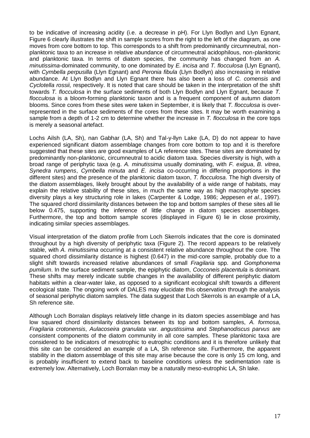to be indicative of increasing acidity (i.e. a decrease in pH). For Llyn Bodlyn and Llyn Egnant, Figure 6 clearly illustrates the shift in sample scores from the right to the left of the diagram, as one moves from core bottom to top. This corresponds to a shift from predominantly circumneutral, nonplanktonic taxa to an increase in relative abundance of circumneutral acidophilous, non-planktonic and planktonic taxa. In terms of diatom species, the community has changed from an *A. minutissima*-dominated community, to one dominated by *E. incisa* and *T. flocculosa* (Llyn Egnant), with *Cymbella perpusilla* (Llyn Egnant) and *Peronia fibula* (Llyn Bodlyn) also increasing in relative abundance. At Llyn Bodlyn and Llyn Egnant there has also been a loss of *C. comensis* and *Cyclotella rossii,* respectively. It is noted that care should be taken in the interpretation of the shift towards *T. flocculosa* in the surface sediments of both Llyn Bodlyn and Llyn Egnant, because *T. flocculosa* is a bloom-forming planktonic taxon and is a frequent component of autumn diatom blooms. Since cores from these sites were taken in September, it is likely that *T. flocculosa* is overrepresented in the surface sediments of the cores from these sites. It may be worth examining a sample from a depth of 1-2 cm to determine whether the increase in *T. flocculosa* in the core tops is merely a seasonal artefact.

Lochs Ailsh (LA, Sh), nan Gabhar (LA, Sh) and Tal-y-llyn Lake (LA, D) do not appear to have experienced significant diatom assemblage changes from core bottom to top and it is therefore suggested that these sites are good examples of LA reference sites. These sites are dominated by predominantly non-planktonic, circumneutral to acidic diatom taxa. Species diversity is high, with a broad range of periphytic taxa (e.g. *A. minutissima* usually dominating, with *F. exigua*, *B. vitrea*, *Synedra rumpens*, *Cymbella minuta* and *E. incisa* co-occurring in differing proportions in the different sites) and the presence of the planktonic diatom taxon, *T. flocculosa*. The high diversity of the diatom assemblages, likely brought about by the availability of a wide range of habitats, may explain the relative stability of these sites, in much the same way as high macrophyte species diversity plays a key structuring role in lakes (Carpenter & Lodge, 1986; Jeppesen *et al*., 1997). The squared chord dissimilarity distances between the top and bottom samples of these sites all lie below 0.475, supporting the inference of little change in diatom species assemblages. Furthermore, the top and bottom sample scores (displayed in Figure 6) lie in close proximity, indicating similar species assemblages.

Visual interpretation of the diatom profile from Loch Skerrols indicates that the core is dominated throughout by a high diversity of periphytic taxa (Figure 2). The record appears to be relatively stable, with *A. minutissima* occurring at a consistent relative abundance throughout the core. The squared chord dissimilarity distance is highest (0.647) in the mid-core sample, probably due to a slight shift towards increased relative abundances of small *Fragilaria* spp. and *Gomphonema pumilum*. In the surface sediment sample, the epiphytic diatom, *Cocconeis placentula* is dominant. These shifts may merely indicate subtle changes in the availability of different periphytic diatom habitats within a clear-water lake, as opposed to a significant ecological shift towards a different ecological state. The ongoing work of DALES may elucidate this observation through the analysis of seasonal periphytic diatom samples. The data suggest that Loch Skerrols is an example of a LA, Sh reference site.

Although Loch Borralan displays relatively little change in its diatom species assemblage and has low squared chord dissimilarity distances between its top and bottom samples, *A. formosa*, *Fragilaria crotonensis*, *Aulacoseira granulata* var. *angustissima* and *Stephanodiscus parvus* are consistent components of the diatom community in all core samples. These planktonic taxa are considered to be indicators of mesotrophic to eutrophic conditions and it is therefore unlikely that this site can be considered an example of a LA, Sh reference site. Furthermore, the apparent stability in the diatom assemblage of this site may arise because the core is only 15 cm long, and is probably insufficient to extend back to baseline conditions unless the sedimentation rate is extremely low. Alternatively, Loch Borralan may be a naturally meso-eutrophic LA, Sh lake.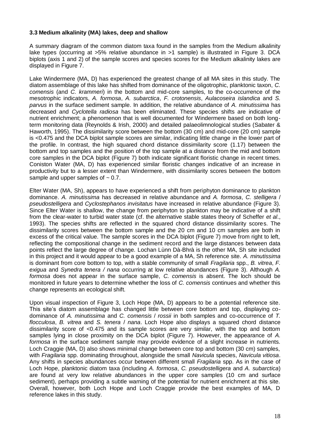#### **3.3 Medium alkalinity (MA) lakes, deep and shallow**

A summary diagram of the common diatom taxa found in the samples from the Medium alkalinity lake types (occurring at >5% relative abundance in >1 sample) is illustrated in Figure 3. DCA biplots (axis 1 and 2) of the sample scores and species scores for the Medium alkalinity lakes are displayed in Figure 7.

Lake Windermere (MA, D) has experienced the greatest change of all MA sites in this study. The diatom assemblage of this lake has shifted from dominance of the oligotrophic, planktonic taxon, *C. comensis* (and *C. krammeri*) in the bottom and mid-core samples, to the co-occurrence of the mesotrophic indicators, *A. formosa*, *A. subarctica*, *F. crotonensis*, *Aulacoseira islandica* and *S. parvus* in the surface sediment sample. In addition, the relative abundance of *A. minutissima* has decreased and *Cyclotella radiosa* has been eliminated. These species shifts are indicative of nutrient enrichment; a phenomenon that is well documented for Windermere based on both longterm monitoring data (Reynolds & Irish, 2000) and detailed palaeolimnological studies (Sabater & Haworth, 1995). The dissimilarity score between the bottom (30 cm) and mid-core (20 cm) sample is <0.475 and the DCA biplot sample scores are similar, indicating little change in the lower part of the profile. In contrast, the high squared chord distance dissimilarity score (1.17) between the bottom and top samples and the position of the top sample at a distance from the mid and bottom core samples in the DCA biplot (Figure 7) both indicate significant floristic change in recent times. Coniston Water (MA, D) has experienced similar floristic changes indicative of an increase in productivity but to a lesser extent than Windermere, with dissimilarity scores between the bottom sample and upper samples of  $\sim 0.7$ .

Elter Water (MA, Sh), appears to have experienced a shift from periphyton dominance to plankton dominance. *A. minutissima* has decreased in relative abundance and *A. formosa*, *C. stelligera* / *pseudostelligera* and *Cyclostephanos invisitatus* have increased in relative abundance (Figure 3). Since Elter Water is shallow, the change from periphyton to plankton may be indicative of a shift from the clear-water to turbid water state (cf. the alternative stable states theory of Scheffer *et al*., 1993). The species shifts are reflected in the squared chord distance dissimilarity scores. The dissimilarity scores between the bottom sample and the 20 cm and 10 cm samples are both in excess of the critical value. The sample scores in the DCA biplot (Figure 7) move from right to left, reflecting the compositional change in the sediment record and the large distances between data points reflect the large degree of change. Lochan Lùnn Dà-Bhrà is the other MA, Sh site included in this project and it would appear to be a good example of a MA, Sh reference site. *A. minutissima* is dominant from core bottom to top, with a stable community of small *Fragilaria* spp., *B. vitrea*, *F. exigua* and *Synedra tenera / nana* occurring at low relative abundances (Figure 3). Although *A. formosa* does not appear in the surface sample, *C. comensis* is absent. The loch should be monitored in future years to determine whether the loss of *C. comensis* continues and whether this change represents an ecological shift.

Upon visual inspection of Figure 3, Loch Hope (MA, D) appears to be a potential reference site. This site's diatom assemblage has changed little between core bottom and top, displaying codominance of *A. minutissima* and *C. comensis* / *rossii* in both samples and co-occurrence of *T. flocculosa*, *B. vitrea* and *S. tenera* / *nana*. Loch Hope also displays a squared chord distance dissimilarity score of <0.475 and its sample scores are very similar, with the top and bottom samples lying in close proximity on the DCA biplot (Figure 7). However, the appearance of *A. formosa* in the surface sediment sample may provide evidence of a slight increase in nutrients. Loch Craggie (MA, D) also shows minimal change between core top and bottom (30 cm) samples, with *Fragilaria* spp. dominating throughout, alongside the small *Navicula* species, *Navicula vitiosa*. Any shifts in species abundances occur between different small *Fragilaria* spp. As in the case of Loch Hope, planktonic diatom taxa (including *A. formosa*, *C. pseudostelligera* and *A. subarctica*) are found at very low relative abundances in the upper core samples (10 cm and surface sediment), perhaps providing a subtle warning of the potential for nutrient enrichment at this site. Overall, however, both Loch Hope and Loch Craggie provide the best examples of MA, D reference lakes in this study.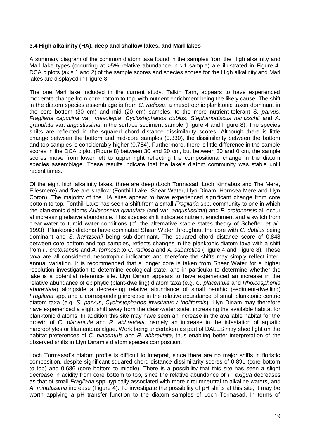#### **3.4 High alkalinity (HA), deep and shallow lakes, and Marl lakes**

A summary diagram of the common diatom taxa found in the samples from the High alkalinity and Marl lake types (occurring at >5% relative abundance in >1 sample) are illustrated in Figure 4. DCA biplots (axis 1 and 2) of the sample scores and species scores for the High alkalinity and Marl lakes are displayed in Figure 8.

The one Marl lake included in the current study, Talkin Tarn, appears to have experienced moderate change from core bottom to top, with nutrient enrichment being the likely cause. The shift in the diatom species assemblage is from *C. radiosa*, a mesotrophic planktonic taxon dominant in the core bottom (30 cm) and mid (20 cm) samples, to the more nutrient-tolerant *S. parvus*, *Fragilaria capucina* var. *mesolepta*, *Cyclostephanos dubius*, *Stephanodiscus hantzschii* and *A. granulata* var. *angustissima* in the surface sediment sample (Figure 4 and Figure 8). The species shifts are reflected in the squared chord distance dissimilarity scores. Although there is little change between the bottom and mid-core samples (0.330), the dissimilarity between the bottom and top samples is considerably higher (0.784). Furthermore, there is little difference in the sample scores in the DCA biplot (Figure 8) between 30 and 20 cm, but between 30 and 0 cm, the sample scores move from lower left to upper right reflecting the compositional change in the diatom species assemblage. These results indicate that the lake's diatom community was stable until recent times.

Of the eight high alkalinity lakes, three are deep (Loch Tormasad, Loch Kinnabus and The Mere, Ellesmere) and five are shallow (Fonthill Lake, Shear Water, Llyn Dinam, Hornsea Mere and Llyn Coron). The majority of the HA sites appear to have experienced significant change from core bottom to top. Fonthill Lake has seen a shift from a small *Fragilaria* spp. community to one in which the planktonic diatoms *Aulacoseira granulata* (and var. *angustissima*) and *F. crotonensis* all occur at increasing relative abundance. This species shift indicates nutrient enrichment and a switch from clear-water to turbid water conditions (cf. the alternative stable states theory of Scheffer *et al*., 1993). Planktonic diatoms have dominated Shear Water throughout the core with *C. dubius* being dominant and *S. hantzschii* being sub-dominant. The squared chord distance score of 0.848 between core bottom and top samples, reflects changes in the planktonic diatom taxa with a shift from *F. crotonensis* and *A. formosa* to *C. radiosa* and *A. subarctica* (Figure 4 and Figure 8). These taxa are all considered mesotrophic indicators and therefore the shifts may simply reflect interannual variation. It is recommended that a longer core is taken from Shear Water for a higher resolution investigation to determine ecological state, and in particular to determine whether the lake is a potential reference site. Llyn Dinam appears to have experienced an increase in the relative abundance of epiphytic (plant-dwelling) diatom taxa (e.g. *C. placentula* and *Rhoicosphenia abbreviata*) alongside a decreasing relative abundance of small benthic (sediment-dwelling) *Fragilaria* spp. and a corresponding increase in the relative abundance of small planktonic centric diatom taxa (e.g. *S. parvus*, *Cyclostephanos invisitatus / tholiformis*). Llyn Dinam may therefore have experienced a slight shift away from the clear-water state, increasing the available habitat for planktonic diatoms. In addition this site may have seen an increase in the available habitat for the growth of *C. placentula* and *R. abbreviata*, namely an increase in the infestation of aquatic macrophytes or filamentous algae. Work being undertaken as part of DALES may shed light on the habitat preferences of *C. placentula* and *R. abbreviata*, thus enabling better interpretation of the observed shifts in Llyn Dinam's diatom species composition.

Loch Tormasad's diatom profile is difficult to interpret, since there are no major shifts in floristic composition, despite significant squared chord distance dissimilarity scores of 0.891 (core bottom to top) and 0.686 (core bottom to middle). There is a possibility that this site has seen a slight decrease in acidity from core bottom to top, since the relative abundance of *F. exigua* decreases as that of small *Fragilaria* spp. typically associated with more circumneutral to alkaline waters, and *A. minutissima* increase (Figure 4). To investigate the possibility of pH shifts at this site, it may be worth applying a pH transfer function to the diatom samples of Loch Tormasad. In terms of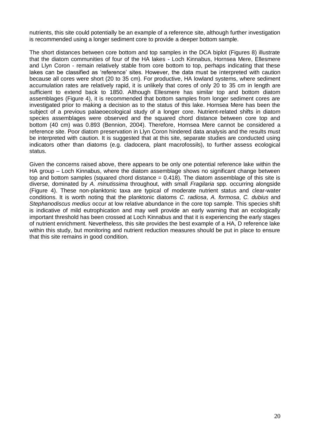nutrients, this site could potentially be an example of a reference site, although further investigation is recommended using a longer sediment core to provide a deeper bottom sample.

The short distances between core bottom and top samples in the DCA biplot (Figures 8) illustrate that the diatom communities of four of the HA lakes - Loch Kinnabus, Hornsea Mere, Ellesmere and Llyn Coron - remain relatively stable from core bottom to top, perhaps indicating that these lakes can be classified as 'reference' sites. However, the data must be interpreted with caution because all cores were short (20 to 35 cm). For productive, HA lowland systems, where sediment accumulation rates are relatively rapid, it is unlikely that cores of only 20 to 35 cm in length are sufficient to extend back to 1850. Although Ellesmere has similar top and bottom diatom assemblages (Figure 4), it is recommended that bottom samples from longer sediment cores are investigated prior to making a decision as to the status of this lake. Hornsea Mere has been the subject of a previous palaeoecological study of a longer core. Nutrient-related shifts in diatom species assemblages were observed and the squared chord distance between core top and bottom (40 cm) was 0.893 (Bennion, 2004). Therefore, Hornsea Mere cannot be considered a reference site. Poor diatom preservation in Llyn Coron hindered data analysis and the results must be interpreted with caution. It is suggested that at this site, separate studies are conducted using indicators other than diatoms (e.g. cladocera, plant macrofossils), to further assess ecological status.

Given the concerns raised above, there appears to be only one potential reference lake within the HA group – Loch Kinnabus, where the diatom assemblage shows no significant change between top and bottom samples (squared chord distance  $= 0.418$ ). The diatom assemblage of this site is diverse, dominated by *A. minutissima* throughout, with small *Fragilaria* spp. occurring alongside (Figure 4). These non-planktonic taxa are typical of moderate nutrient status and clear-water conditions. It is worth noting that the planktonic diatoms *C. radiosa*, *A. formosa*, *C. dubius* and *Stephanodiscus medius* occur at low relative abundance in the core top sample. This species shift is indicative of mild eutrophication and may well provide an early warning that an ecologically important threshold has been crossed at Loch Kinnabus and that it is experiencing the early stages of nutrient enrichment. Nevertheless, this site provides the best example of a HA, D reference lake within this study, but monitoring and nutrient reduction measures should be put in place to ensure that this site remains in good condition.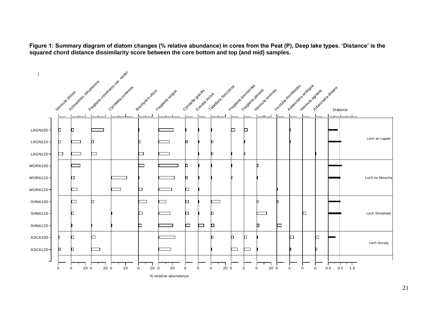**Figure 1: Summary diagram of diatom changes (% relative abundance) in cores from the Peat (P), Deep lake types. 'Distance' is the squared chord distance dissimilarity score between the core bottom and top (and mid) samples.**



% relative abundance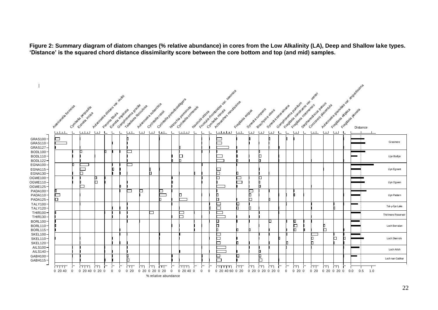**Figure 2: Summary diagram of diatom changes (% relative abundance) in cores from the Low Alkalinity (LA), Deep and Shallow lake types. 'Distance' is the squared chord distance dissimilarity score between the core bottom and top (and mid) samples.**

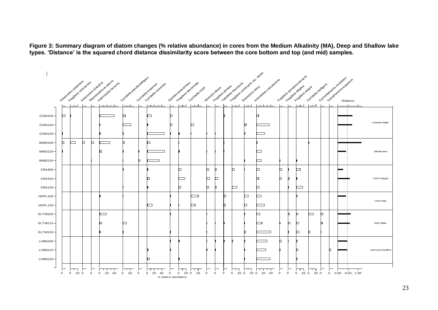**Figure 3: Summary diagram of diatom changes (% relative abundance) in cores from the Medium Alkalinity (MA), Deep and Shallow lake types. 'Distance' is the squared chord distance dissimilarity score between the core bottom and top (and mid) samples.**

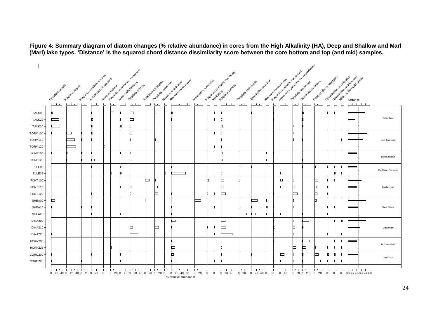**Figure 4: Summary diagram of diatom changes (% relative abundance) in cores from the High Alkalinity (HA), Deep and Shallow and Marl (Marl) lake types. 'Distance' is the squared chord distance dissimilarity score between the core bottom and top (and mid) samples.**

|                 |                    |                           |      | Francisco des decharges des lignes |                         |                |        | Friends Manufacture and residents |              |                                              |        |                                                                  |                        |                            |          | Frankling of other deck of the land |                        |                       |                               |   | Free distributions are the relations |                          | A Judecke to concrete and with a digital state |                          |             |                           | Cyclopedia rate transforms   |                     |
|-----------------|--------------------|---------------------------|------|------------------------------------|-------------------------|----------------|--------|-----------------------------------|--------------|----------------------------------------------|--------|------------------------------------------------------------------|------------------------|----------------------------|----------|-------------------------------------|------------------------|-----------------------|-------------------------------|---|--------------------------------------|--------------------------|------------------------------------------------|--------------------------|-------------|---------------------------|------------------------------|---------------------|
|                 |                    |                           |      |                                    |                         |                |        |                                   |              |                                              |        |                                                                  |                        |                            |          |                                     |                        |                       |                               |   |                                      |                          |                                                |                          |             |                           |                              |                     |
|                 | Cyclodella ratiosa | Frequenia etique          |      | Actmantage randigesing             |                         | Waytouaratiosa |        | Fragadia divotica                 |              | Aviacosaira granulais<br>Fragavia caretylane |        | Septated Book Dams<br>Hairlouse scyceladoses                     | Automobile Storestocke |                            |          |                                     | Fraggiaida craoreresis | Clocked Marie dignite | Septimated Science Assistance |   |                                      |                          | Cocopracie decarulas                           | Septrace descriptions of |             | Cricketer Handercritiques | Riverside Reinige Ashee idea |                     |
|                 |                    | المتلبط المتلبط           | لىبا | الطبا                              |                         | المسا          | المسا  | المسلسليا                         | المساء المسا |                                              | ட      | كالطابطاط                                                        | طبيعا                  | $\mathsf{L}\mathsf{L}$     | $\vdash$ | طعيلتينيا                           | طبعا                   | المسلسا               | $\Box$<br>ட                   |   | $L + L$                              | $\overline{\phantom{0}}$ | طالعا                                          | $\overline{\phantom{0}}$ |             |                           | المستحقق المستحقق            |                     |
| TALK00-         |                    |                           |      |                                    |                         | □              |        | □                                 |              |                                              |        |                                                                  |                        |                            |          |                                     |                        |                       |                               |   |                                      |                          |                                                |                          |             |                           |                              |                     |
| TALK20-         |                    |                           |      | D.                                 |                         |                |        | □                                 |              |                                              |        |                                                                  |                        |                            |          |                                     |                        |                       |                               |   |                                      |                          |                                                |                          |             |                           |                              | Talkin Tarn         |
| TALK30-         |                    |                           |      | n                                  |                         |                |        |                                   |              |                                              |        |                                                                  |                        |                            |          |                                     |                        |                       |                               |   |                                      |                          |                                                |                          |             |                           |                              |                     |
| TORM100-        |                    | ⊐                         |      | n                                  |                         |                |        | h                                 |              |                                              |        |                                                                  |                        |                            |          |                                     |                        |                       |                               |   |                                      |                          |                                                |                          |             |                           |                              |                     |
| TORM110-        |                    |                           |      |                                    |                         |                |        |                                   |              |                                              |        |                                                                  |                        |                            |          |                                     |                        |                       |                               |   |                                      |                          |                                                |                          |             |                           |                              | Loch Tormasad       |
| TORM120-        |                    |                           |      |                                    | n                       |                |        |                                   |              |                                              |        |                                                                  |                        |                            |          |                                     |                        |                       |                               |   |                                      |                          |                                                |                          |             |                           |                              |                     |
| KINB100-        |                    |                           |      |                                    |                         |                |        |                                   |              |                                              |        |                                                                  |                        |                            |          | n                                   |                        |                       |                               |   |                                      |                          |                                                |                          |             |                           |                              |                     |
| KINB120-        |                    |                           | O.   | □                                  |                         |                |        | o                                 |              |                                              |        |                                                                  |                        |                            |          | n                                   |                        |                       |                               |   |                                      |                          |                                                |                          |             |                           |                              | Loch Kinnabus       |
| ELLE00-         |                    |                           |      |                                    |                         |                | b      |                                   |              |                                              |        |                                                                  |                        |                            |          |                                     | b.                     |                       |                               |   |                                      |                          |                                                |                          |             |                           |                              |                     |
| ELLE35-         |                    |                           |      |                                    |                         |                |        |                                   |              |                                              |        |                                                                  |                        |                            |          |                                     |                        |                       |                               |   |                                      |                          |                                                |                          |             |                           |                              | The Mere, Ellesmere |
| FONT100-        |                    |                           |      |                                    |                         |                |        |                                   | $\Box$       |                                              |        |                                                                  |                        |                            |          | n                                   |                        |                       |                               | o |                                      |                          |                                                | □                        |             |                           |                              |                     |
| FONT110-        |                    |                           |      |                                    |                         |                |        | п                                 |              | □                                            |        |                                                                  |                        |                            |          | o                                   |                        |                       |                               |   | ▭                                    | o.                       |                                                | n                        |             |                           |                              | Fonthill Lake       |
| FONT120-        |                    |                           |      |                                    |                         |                |        |                                   |              | ▭                                            |        |                                                                  |                        |                            |          | ▭                                   |                        |                       |                               |   |                                      | L                        |                                                | □                        |             |                           |                              |                     |
| SHEA00-         | ▭                  |                           |      |                                    |                         |                |        |                                   |              |                                              |        |                                                                  | Ξ                      |                            |          |                                     |                        |                       |                               |   |                                      |                          |                                                | h                        |             |                           |                              |                     |
| SHEA15-         |                    |                           |      |                                    |                         |                |        |                                   |              |                                              |        |                                                                  |                        |                            |          |                                     |                        |                       |                               |   |                                      |                          |                                                | L                        |             |                           |                              | Shear Water         |
| SHEA25-         |                    |                           |      |                                    |                         |                | o      |                                   |              |                                              |        |                                                                  |                        |                            |          |                                     | $\equiv$               | $\Box$                |                               |   |                                      |                          |                                                | n                        |             |                           |                              |                     |
| DINA200-        |                    |                           |      |                                    |                         |                |        |                                   |              |                                              | ▭      |                                                                  |                        |                            |          | ⊏                                   |                        |                       |                               |   |                                      |                          | $\sim$                                         |                          |             |                           |                              |                     |
| DINA210-        |                    |                           |      |                                    |                         |                |        | □                                 |              | □                                            |        |                                                                  |                        |                            |          | $\overline{\phantom{a}}$            |                        |                       | n                             |   |                                      | o                        |                                                |                          |             |                           |                              | Llyn Dinam          |
| DINA220-        |                    |                           |      |                                    |                         |                |        | $\overline{\phantom{a}}$          |              |                                              |        |                                                                  |                        |                            |          |                                     |                        |                       |                               |   |                                      |                          |                                                |                          |             |                           |                              |                     |
| HORN200-        |                    |                           |      |                                    |                         |                |        |                                   |              |                                              | b      |                                                                  |                        |                            |          |                                     |                        |                       |                               |   |                                      | b.                       | ⊐                                              | $\Box$                   |             |                           |                              |                     |
| <b>HORN226-</b> |                    |                           |      |                                    |                         |                |        |                                   |              |                                              | □      |                                                                  |                        |                            |          |                                     |                        |                       |                               |   |                                      | 0                        | □                                              |                          |             |                           |                              | Hornsea Mere        |
| CORO200-        |                    |                           |      |                                    |                         |                |        |                                   |              |                                              | b      |                                                                  |                        |                            |          |                                     |                        |                       |                               | ▭ |                                      |                          |                                                | □                        | n.          |                           |                              |                     |
| CORO220-        |                    |                           |      |                                    |                         |                |        |                                   |              |                                              | $\Box$ |                                                                  |                        |                            |          |                                     |                        |                       |                               |   |                                      |                          |                                                | $\overline{\phantom{0}}$ |             | o                         |                              | Llyn Coron          |
|                 |                    | <u>nn ma ma</u>           |      |                                    | ा —                     | m              | $\Box$ | ाममा                              | <u>гт</u>    | ान                                           |        | तमामान                                                           | ПTТ.                   | ┌                          | ┍        | ागमा                                | तम                     | ागम                   | $\Gamma$<br>$\Gamma$          |   | ाग                                   | $\Box$                   | ाग                                             | ГU                       | Г           | ┍<br>┍                    | 1 1 1 1 1 1                  |                     |
|                 |                    | 0 20 40 0 20 40 0 20 0 20 |      |                                    | $\overline{\mathbf{0}}$ |                |        |                                   |              |                                              |        | 0 20 0 20 0 20 40 0 20 0 20 0 0 20 40 60<br>% relative abundance | $0\quad20$             | $\mathbf 0$<br>$\mathbf 0$ |          | $0\quad 20\quad 40$                 | $0\quad20$             | $0$ 20 40 0           | $\overline{0}$                |   | $0\quad20$                           | $0$ 20 0 20              |                                                | $0\quad20$               | $\mathbf 0$ | $\mathbf{0}$              | $0$ 0.00.20.40.60.81.0       |                     |
|                 |                    |                           |      |                                    |                         |                |        |                                   |              |                                              |        |                                                                  |                        |                            |          |                                     |                        |                       |                               |   |                                      |                          |                                                |                          |             |                           |                              |                     |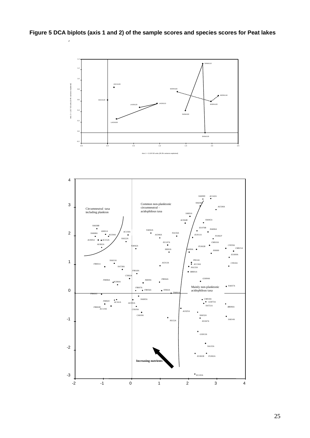

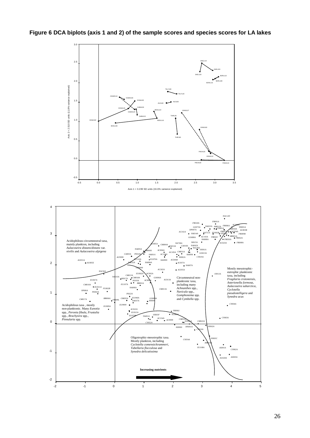

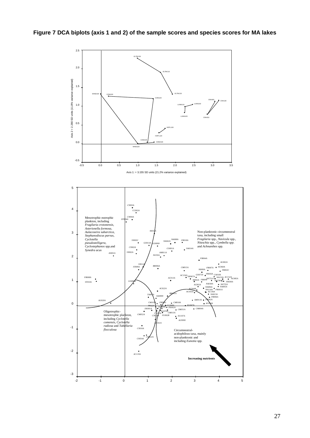

27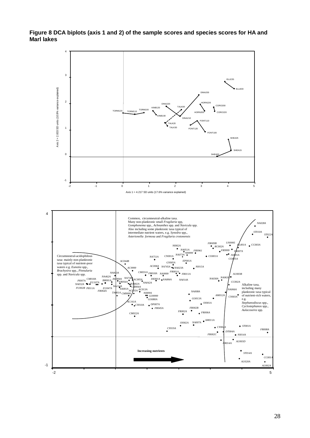#### **Figure 8 DCA biplots (axis 1 and 2) of the sample scores and species scores for HA and Marl lakes**

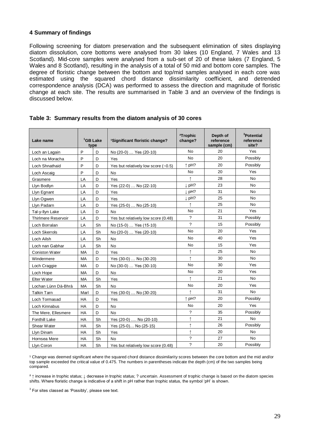#### **4 Summary of findings**

Following screening for diatom preservation and the subsequent elimination of sites displaying diatom dissolution, core bottoms were analysed from 30 lakes (10 England, 7 Wales and 13 Scotland). Mid-core samples were analysed from a sub-set of 20 of these lakes (7 England, 5 Wales and 8 Scotland), resulting in the analysis of a total of 50 mid and bottom core samples. The degree of floristic change between the bottom and top/mid samples analysed in each core was estimated using the squared chord distance dissimilarity coefficient, and detrended correspondence analysis (DCA) was performed to assess the direction and magnitude of floristic change at each site. The results are summarised in Table 3 and an overview of the findings is discussed below.

| Lake name             |           | <sup>1</sup> GB Lake<br>type | <sup>1</sup> Significant floristic change? | <sup>2</sup> Trophic<br>change? | Depth of<br>reference<br>sample (cm) | <sup>3</sup> Potential<br>reference<br>site? |
|-----------------------|-----------|------------------------------|--------------------------------------------|---------------------------------|--------------------------------------|----------------------------------------------|
| Loch an Lagain        | P         | D                            | No (20-0)  Yes (20-10)                     | <b>No</b>                       | 20                                   | Yes                                          |
| Loch na Moracha       | P         | D                            | Yes                                        | <b>No</b>                       | 20                                   | Possibly                                     |
| Loch Shnathaid        | P         | D                            | Yes but relatively low score $(-0.5)$      | $\uparrow$ pH?                  | 20                                   | Possibly                                     |
| Loch Ascaig           | P         | D                            | No                                         | No                              | 20                                   | Yes                                          |
| Grasmere              | LA        | D                            | Yes                                        | $\uparrow$                      | 28                                   | No                                           |
| Llyn Bodlyn           | LA        | D                            | Yes (22-0)  No (22-10)                     | ↓ pH?                           | 23                                   | No                                           |
| Llyn Egnant           | LA        | D                            | Yes                                        | ↓ pH?                           | 31                                   | No                                           |
| Llyn Ogwen            | LA        | D                            | Yes                                        | $\downarrow$ pH?                | 25                                   | No                                           |
| Llyn Padarn           | LA        | D                            | Yes (25-0)  No (25-10)                     |                                 | 25                                   | <b>No</b>                                    |
| Tal-y-llyn Lake       | LA        | D                            | <b>No</b>                                  | <b>No</b>                       | 21                                   | Yes                                          |
| Thirlmere Reservoir   | LA        | D                            | Yes but relatively low score (0.48)        | $\gamma$                        | 31                                   | Possibly                                     |
| Loch Borralan         | LA        | Sh                           | No (15-0)  Yes (15-10)                     | ?                               | 15                                   | Possibly                                     |
| Loch Skerrols         | LA        | Sh                           | No (20-0)  Yes (20-10)                     | No                              | 20                                   | Yes                                          |
| Loch Ailsh            | LA        | Sh                           | No                                         | No                              | 40                                   | Yes                                          |
| Loch nan Gabhar       | LA        | Sh                           | N <sub>0</sub>                             | No                              | 15                                   | Yes                                          |
| <b>Coniston Water</b> | <b>MA</b> | D                            | Yes                                        | ↑                               | 25                                   | No                                           |
| Windermere            | MA        | D                            | Yes (30-0)  No (30-20)                     | $\uparrow$                      | 30                                   | <b>No</b>                                    |
| Loch Craggie          | МA        | D                            | No (30-0)  Yes (30-10)                     | No                              | 30                                   | Yes                                          |
| Loch Hope             | MA        | D                            | No                                         | No                              | 20                                   | Yes                                          |
| Elter Water           | MA        | Sh                           | Yes                                        | ↑                               | 21                                   | N <sub>0</sub>                               |
| Lochan Lùnn Dà-Bhrà   | MA        | Sh                           | No                                         | <b>No</b>                       | 20                                   | Yes                                          |
| <b>Talkin Tarn</b>    | Marl      | D                            | Yes (30-0)  No (30-20)                     | ↑                               | 31                                   | No                                           |
| Loch Tormasad         | <b>HA</b> | D                            | Yes                                        | $\uparrow$ pH?                  | 20                                   | Possibly                                     |
| Loch Kinnabus         | HA        | D                            | <b>No</b>                                  | No                              | 20                                   | Yes                                          |
| The Mere, Ellesmere   | HA        | D                            | No                                         | $\gamma$                        | 35                                   | Possibly                                     |
| <b>Fonthill Lake</b>  | HA        | Sh                           | Yes (20-0)  No (20-10)                     | $\uparrow$                      | 21                                   | No                                           |
| Shear Water           | HA        | Sh                           | Yes (25-0) No (25-15)                      |                                 | 26                                   | Possibly                                     |
| Llyn Dinam            | HA        | Sh                           | Yes                                        | $\uparrow$                      | 20                                   | No                                           |
| Hornsea Mere          | HA        | Sh                           | No                                         | $\overline{?}$                  | 27                                   | <b>No</b>                                    |
| Llyn Coron            | <b>HA</b> | Sh                           | Yes but relatively low score (0.48)        | ?                               | 20                                   | Possibly                                     |

#### **Table 3: Summary results from the diatom analysis of 30 cores**

<sup>1</sup> Change was deemed significant where the squared chord distance dissimilarity scores between the core bottom and the mid and/or top sample exceeded the critical value of 0.475. The numbers in parentheses indicate the depth (cm) of the two samples being compared.

² ↑ increase in trophic status; ↓ decrease in trophic status; ? uncertain. Assessment of trophic change is based on the diatom species shifts. Where floristic change is indicative of a shift in pH rather than trophic status, the symbol 'pH' is shown.

 $3$  For sites classed as 'Possibly', please see text.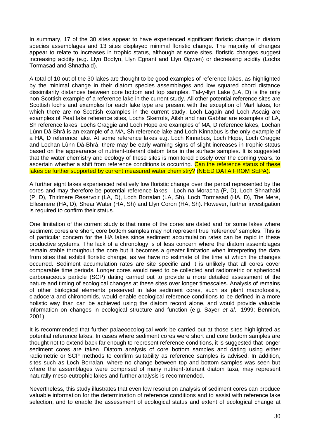In summary, 17 of the 30 sites appear to have experienced significant floristic change in diatom species assemblages and 13 sites displayed minimal floristic change. The majority of changes appear to relate to increases in trophic status, although at some sites, floristic changes suggest increasing acidity (e.g. Llyn Bodlyn, Llyn Egnant and Llyn Ogwen) or decreasing acidity (Lochs Tormasad and Shnathaid).

A total of 10 out of the 30 lakes are thought to be good examples of reference lakes, as highlighted by the minimal change in their diatom species assemblages and low squared chord distance dissimilarity distances between core bottom and top samples. Tal-y-llyn Lake (LA, D) is the only non-Scottish example of a reference lake in the current study. All other potential reference sites are Scottish lochs and examples for each lake type are present with the exception of Marl lakes, for which there are no Scottish examples in the current study. Loch Lagain and Loch Ascaig are examples of Peat lake reference sites, Lochs Skerrols, Ailsh and nan Gabhar are examples of LA, Sh reference lakes, Lochs Craggie and Loch Hope are examples of MA, D reference lakes, Lochan Lùnn Dà-Bhrà is an example of a MA, Sh reference lake and Loch Kinnabus is the only example of a HA, D reference lake. At some reference lakes e.g. Loch Kinnabus, Loch Hope, Loch Craggie and Lochan Lùnn Dà-Bhrà, there may be early warning signs of slight increases in trophic status based on the appearance of nutrient-tolerant diatom taxa in the surface samples. It is suggested that the water chemistry and ecology of these sites is monitored closely over the coming years, to ascertain whether a shift from reference conditions is occurring. Can the reference status of these lakes be further supported by current measured water chemistry? (NEED DATA FROM SEPA).

A further eight lakes experienced relatively low floristic change over the period represented by the cores and may therefore be potential reference lakes - Loch na Moracha (P, D), Loch Shnathaid (P, D), Thirlmere Reservoir (LA, D), Loch Borralan (LA, Sh), Loch Tormasad (HA, D), The Mere, Ellesmere (HA, D), Shear Water (HA, Sh) and Llyn Coron (HA, Sh). However, further investigation is required to confirm their status.

One limitation of the current study is that none of the cores are dated and for some lakes where sediment cores are short, core bottom samples may not represent true 'reference' samples. This is of particular concern for the HA lakes since sediment accumulation rates can be rapid in these productive systems. The lack of a chronology is of less concern where the diatom assemblages remain stable throughout the core but it becomes a greater limitation when interpreting the data from sites that exhibit floristic change, as we have no estimate of the time at which the changes occurred. Sediment accumulation rates are site specific and it is unlikely that all cores cover comparable time periods. Longer cores would need to be collected and radiometric or spheriodal carbonaceous particle (SCP) dating carried out to provide a more detailed assessment of the nature and timing of ecological changes at these sites over longer timescales. Analysis of remains of other biological elements preserved in lake sediment cores, such as plant macrofossils, cladocera and chironomids, would enable ecological reference conditions to be defined in a more holistic way than can be achieved using the diatom record alone, and would provide valuable information on changes in ecological structure and function (e.g. Sayer *et al*., 1999; Bennion, 2001).

It is recommended that further palaeoecological work be carried out at those sites highlighted as potential reference lakes. In cases where sediment cores were short and core bottom samples are thought not to extend back far enough to represent reference conditions, it is suggested that longer sediment cores are taken. Diatom analysis of core bottom samples and dating using either radiometric or SCP methods to confirm suitability as reference samples is advised. In addition, sites such as Loch Borralan, where no change between top and bottom samples was seen but where the assemblages were comprised of many nutrient-tolerant diatom taxa, may represent naturally meso-eutrophic lakes and further analysis is recommended.

Nevertheless, this study illustrates that even low resolution analysis of sediment cores can produce valuable information for the determination of reference conditions and to assist with reference lake selection, and to enable the assessment of ecological status and extent of ecological change at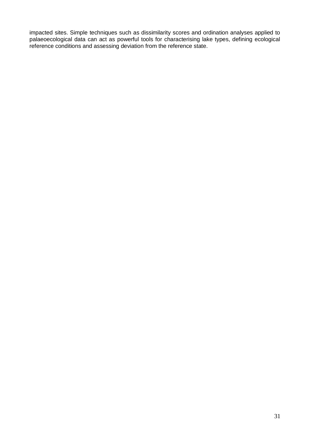impacted sites. Simple techniques such as dissimilarity scores and ordination analyses applied to palaeoecological data can act as powerful tools for characterising lake types, defining ecological reference conditions and assessing deviation from the reference state.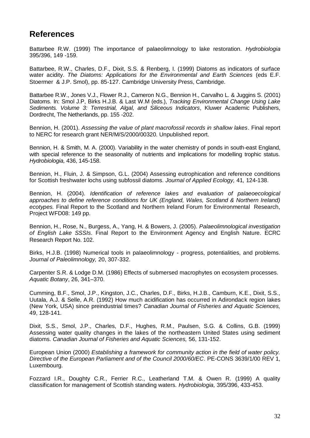### **References**

Battarbee R.W. (1999) The importance of palaeolimnology to lake restoration. *Hydrobiologia* 395/396, 149 -159.

Battarbee, R.W., Charles, D.F., Dixit, S.S. & Renberg, I. (1999) Diatoms as indicators of surface water acidity. *The Diatoms: Applications for the Environmental and Earth Sciences* (eds E.F. Stoermer & J.P. Smol), pp. 85-127. Cambridge University Press, Cambridge.

Battarbee R.W., Jones V.J., Flower R.J., Cameron N.G., Bennion H., Carvalho L. & Juggins S. (2001) Diatoms. In: Smol J.P, Birks H.J.B. & Last W.M (eds.), *Tracking Environmental Change Using Lake Sediments. Volume 3: Terrestrial, Algal, and Siliceous Indicators*, Kluwer Academic Publishers, Dordrecht, The Netherlands, pp. 155 -202.

Bennion, H. (2001). *Assessing the value of plant macrofossil records in shallow lakes*. Final report to NERC for research grant NER/M/S/2000/00320. Unpublished report.

Bennion, H. & Smith, M. A. (2000). Variability in the water chemistry of ponds in south-east England, with special reference to the seasonality of nutrients and implications for modelling trophic status. *Hydrobiologia,* 436, 145-158.

Bennion, H., Fluin, J. & Simpson, G.L. (2004) Assessing eutrophication and reference conditions for Scottish freshwater lochs using subfossil diatoms. *Journal of Applied Ecology,* 41*,* 124-138.

Bennion, H. (2004). *Identification of reference lakes and evaluation of palaeoecological approaches to define reference conditions for UK (England, Wales, Scotland & Northern Ireland) ecotypes.* Final Report to the Scotland and Northern Ireland Forum for Environmental Research, Project WFD08: 149 pp.

Bennion, H., Rose, N., Burgess, A., Yang, H. & Bowers, J. (2005). *Palaeolimnological investigation of English Lake SSSIs*. Final Report to the Environment Agency and English Nature. ECRC Research Report No. 102.

Birks, H.J.B. (1998) Numerical tools in palaeolimnology - progress, potentialities, and problems. *Journal of Paleolimnology,* 20, 307-332.

Carpenter S.R. & Lodge D.M. (1986) Effects of submersed macrophytes on ecosystem processes. *Aquatic Botany*, 26, 341–370.

Cumming, B.F., Smol, J.P., Kingston, J.C., Charles, D.F., Birks, H.J.B., Camburn, K.E., Dixit, S.S., Uutala, A.J. & Selle, A.R. (1992) How much acidification has occurred in Adirondack region lakes (New York, USA) since preindustrial times? *Canadian Journal of Fisheries and Aquatic Sciences,* 49, 128-141.

Dixit, S.S., Smol, J.P., Charles, D.F., Hughes, R.M., Paulsen, S.G. & Collins, G.B. (1999) Assessing water quality changes in the lakes of the northeastern United States using sediment diatoms. *Canadian Journal of Fisheries and Aquatic Sciences,* 56, 131-152.

European Union (2000) *Establishing a framework for community action in the field of water policy. Directive of the European Parliament and of the Council 2000/60/EC*. PE-CONS 3639/1/00 REV 1, Luxembourg.

Fozzard I.R., Doughty C.R., Ferrier R.C., Leatherland T.M. & Owen R. (1999) A quality classification for management of Scottish standing waters. *Hydrobiologia,* 395/396, 433-453.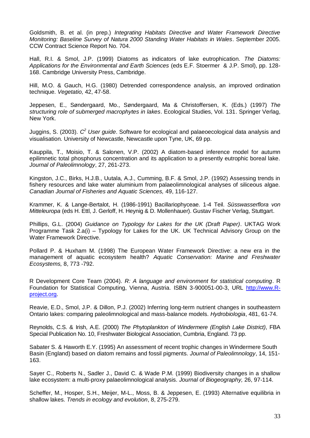Goldsmith, B. et al. (in prep.) *Integrating Habitats Directive and Water Framework Directive Monitoring: Baseline Survey of Natura 2000 Standing Water Habitats in Wales*. September 2005. CCW Contract Science Report No. 704.

Hall, R.I. & Smol, J.P. (1999) Diatoms as indicators of lake eutrophication. *The Diatoms: Applications for the Environmental and Earth Sciences* (eds E.F. Stoermer & J.P. Smol), pp. 128- 168. Cambridge University Press, Cambridge.

Hill, M.O. & Gauch, H.G. (1980) Detrended correspondence analysis, an improved ordination technique. *Vegetatio,* 42, 47-58.

Jeppesen, E., Søndergaard, Mo., Søndergaard, Ma & Christoffersen, K. (Eds.) (1997) *The structuring role of submerged macrophytes in lakes*. Ecological Studies, Vol. 131. Springer Verlag, New York.

Juggins, S. (2003). *C <sup>2</sup> User guide*. Software for ecological and palaeoecological data analysis and visualisation. University of Newcastle, Newcastle upon Tyne, UK, 69 pp.

Kauppila, T., Moisio, T. & Salonen, V.P. (2002) A diatom-based inference model for autumn epilimnetic total phosphorus concentration and its application to a presently eutrophic boreal lake. *Journal of Paleolimnology*, 27, 261-273.

Kingston, J.C., Birks, H.J.B., Uutala, A.J., Cumming, B.F. & Smol, J.P. (1992) Assessing trends in fishery resources and lake water aluminium from palaeolimnological analyses of siliceous algae. *Canadian Journal of Fisheries and Aquatic Sciences,* 49, 116-127.

Krammer, K. & Lange-Bertalot, H. (1986-1991) Bacillariophyceae. 1-4 Teil. *Süsswasserflora von Mitteleuropa* (eds H. Ettl, J. Gerloff, H. Heynig & D. Mollenhauer). Gustav Fischer Verlag, Stuttgart.

Phillips, G.L. (2004) *Guidance on Typology for Lakes for the UK (Draft Paper)*. UKTAG Work Programme Task 2.a(i) – Typology for Lakes for the UK. UK Technical Advisory Group on the Water Framework Directive.

Pollard P. & Huxham M. (1998) The European Water Framework Directive: a new era in the management of aquatic ecosystem health? *Aquatic Conservation: Marine and Freshwater Ecosystems,* 8, 773 -792.

R Development Core Team (2004). *R: A language and environment for statistical computing*. R Foundation for Statistical Computing, Vienna, Austria. ISBN 3-900051-00-3, URL [http://www.R](http://www.r-project.org/)[project.org.](http://www.r-project.org/)

Reavie, E.D., Smol, J.P. & Dillon, P.J. (2002) Inferring long-term nutrient changes in southeastern Ontario lakes: comparing paleolimnological and mass-balance models. *Hydrobiologia*, 481, 61-74.

Reynolds, C.S. & Irish, A.E. (2000) *The Phytoplankton of Windermere (English Lake District)*, FBA Special Publication No. 10, Freshwater Biological Association, Cumbria, England. 73 pp.

Sabater S. & Haworth E.Y. (1995) An assessment of recent trophic changes in Windermere South Basin (England) based on diatom remains and fossil pigments. *Journal of Paleolimnology*, 14, 151- 163.

Sayer C., Roberts N., Sadler J., David C. & Wade P.M. (1999) Biodiversity changes in a shallow lake ecosystem: a multi-proxy palaeolimnological analysis. *Journal of Biogeography,* 26, 97-114.

Scheffer, M., Hosper, S.H., Meijer, M-L., Moss, B. & Jeppesen, E. (1993) Alternative equilibria in shallow lakes. *Trends in ecology and evolution*, 8, 275-279.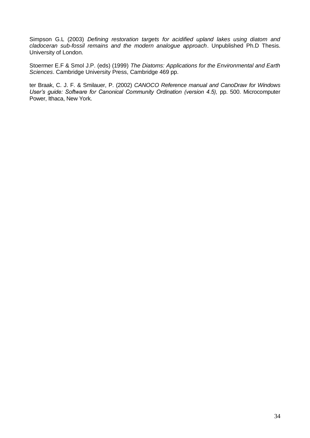Simpson G.L (2003) *Defining restoration targets for acidified upland lakes using diatom and cladoceran sub-fossil remains and the modern analogue approach*. Unpublished Ph.D Thesis. University of London.

Stoermer E.F & Smol J.P. (eds) (1999) *The Diatoms: Applications for the Environmental and Earth Sciences*. Cambridge University Press, Cambridge 469 pp.

ter Braak, C. J. F. & Smilauer, P. (2002) *CANOCO Reference manual and CanoDraw for Windows User's guide: Software for Canonical Community Ordination (version 4.5),* pp. 500. Microcomputer Power, Ithaca, New York.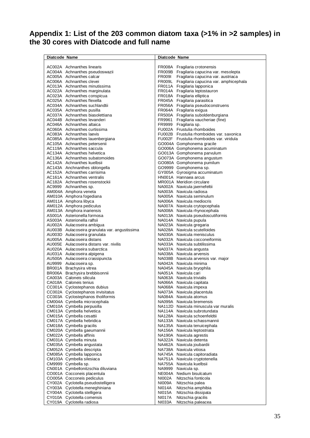### **Appendix 1: List of the 203 common diatom taxa (>1% in >2 samples) in the 30 cores with Diatcode and full name**

| Diatcode Name                                                | Diatcode Name                                                  |
|--------------------------------------------------------------|----------------------------------------------------------------|
|                                                              |                                                                |
| AC002A Achnanthes linearis                                   | FR008A Fragilaria crotonensis                                  |
| AC004A Achnanthes pseudoswazii                               | FR009B Fragilaria capucina var. mesolepta                      |
| AC005A Achnanthes calcar                                     | FR009I Fragilaria capucina var. austriaca                      |
| AC006A Achnanthes clevei                                     | FR009L Fragilaria capucina var. amphicephala                   |
| AC013A Achnanthes minutissima                                | FR011A Fragilaria lapponica                                    |
| AC022A Achnanthes marginulata<br>AC023A Achnanthes conspicua | FR014A Fragilaria leptostauron                                 |
| AC025A Achnanthes flexella                                   | FR018A Fragilaria elliptica<br>FR045A Fragilaria parasitica    |
| AC034A Achnanthes suchlandtii                                | FR056A Fragilaria pseudoconstruens                             |
| AC035A Achnanthes pusilla                                    | FR064A Fragilaria exigua                                       |
| AC037A Achnanthes biasolettiana                              | FR500A Fragilaria suboldenburgiana                             |
| AC044B Achnanthes levanderi                                  | FR9961 Fragilaria vaucheriae (fine)                            |
| AC046A Achnanthes altaica                                    | FR9999 Fragilaria sp.                                          |
| AC060A Achnanthes curtissima                                 | FU002A Frustulia rhomboides                                    |
| AC083A Achnanthes laevis                                     | FU002B Frustulia rhomboides var. saxonica                      |
| AC085A Achnanthes lauenbergiana                              | FU002F Frustulia rhomboides var. viridula                      |
| AC105A Achnanthes petersenii                                 | GO004A Gomphonema gracile                                      |
| AC119A Achnanthes saccula                                    | GO006A Gomphonema acuminatum                                   |
| AC134A Achnanthes helvetica                                  | GO013A Gomphonema parvulum                                     |
| AC136A Achnanthes subatomoides                               | GO073A Gomphonema angustum                                     |
| AC142A Achnanthes kuelbsii                                   | GO080A Gomphonema pumilum                                      |
| AC143A Anchnanthes oblongella                                | GO9999 Gomphonema sp.                                          |
| AC152A Achnanthes carrisima                                  | GY005A Gyrosigma accuminatum                                   |
| AC161A Achnanthes ventralis                                  | HN001A Hannaea arcus                                           |
| AC182A Achnanthes rosenstockii                               | MR001A Meridion circulare                                      |
| AC9999 Achnanthes sp.<br>AM004A Amphora veneta               | NA002A Navicula jaernefeltii                                   |
|                                                              | NA003A Navicula radiosa<br>NA005A Navicula seminulum           |
| AM010A Amphora fogediana<br>AM011A Amphora libyca            | NA006A Navicula mediocris                                      |
| AM012A Amphora pediculus                                     | NA007A Navicula crytopcephala                                  |
| AM013A Amphora inariensis                                    | NA008A Navicula rhynocephala                                   |
| AS001A Asterionella formosa                                  | NA013A Navicula pseudoscutiformis                              |
| AS003A Asterionella ralfsii                                  | NA014A Navicula pupula                                         |
| AU002A Aulacoseira ambigua                                   | NA023A Navicula gregaria                                       |
| AU003B Aulacoseira granulata var. angustissima               | NA028A Navicula scutelloides                                   |
| AU003D Aulacoseira granulata                                 | NA030A Navicula menisculus                                     |
| AU005A Aulacoseira distans                                   | NA032A Navicula cocconeiformis                                 |
| AU005E Aulacoseira distans var. nivilis                      | NA033A Navicula subtilissima                                   |
| AU020A Aulacoseira subarctica                                | NA037A Navicula angusta                                        |
| AU031A Aulacoseira alpigena                                  | NA038A Navicula arvensis                                       |
| AU500A Aulacoseira crassipuncta                              | NA038B Navicula arvensis var. major                            |
| AU9999 Aulacoseira sp.                                       | NA042A Navicula minima                                         |
| BR001A Brachysira vitrea                                     | NA045A Navicula bryophila                                      |
| BR006A Brachysira brebbisonnii<br>CA003A Caloneis silicula   | NA051A Navicula cari<br>NA063A Navicula trivialis              |
| CA018A Caloneis tenius                                       | NA066A Navicula capitata                                       |
| CC001A Cyclostephanos dubius                                 | NA068A Navicula impexa                                         |
| CC002A Cyclostephanos invisitatus                            | NA073A Navicula placentula                                     |
| CC003A Cyclostephanos tholiformis                            | NA084A Navicula atomus                                         |
| CM004A Cymbella microcephala                                 | NA099A Navicula bremensis                                      |
| CM010A Cymbella perpusilla                                   | NA112D Navicula minuscula var muralis                          |
| CM013A Cymbella helvetica                                    | NA114A Navicula subrotundata                                   |
| CM015A Cymbella cesattii                                     | NA128A Navicula schoenfeldtii                                  |
| CM017A Cymbella hebridica                                    | NA133A Navicula schassmannii                                   |
| CM018A Cymbella gracilis                                     | NA135A Navicula tenuicephala                                   |
| CM020A Cymbella gaeumannii                                   | NA156A Navicula leptostriata                                   |
| CM022A Cymbella affinis                                      | NA190A Navicula agrestis                                       |
| CM031A Cymbella minuta                                       | NA322A Navicula detenta                                        |
| CM035A Cymbella angustata                                    | NA462A Navicula joubardii                                      |
| CM052A Cymbella descripta<br>CM085A Cymbella Iapponica       | NA738A Navicula vitiosa                                        |
| CM103A Cymbella silesiaca                                    | NA745A Navicula capitoradiata<br>NA751A Navicula cryptotenella |
| CM9999 Cymbella sp.                                          | NA755A Navicula kuelbsii                                       |
| CN001A Cymbellonitzschia diluviana                           | NA9999 Navicula sp.                                            |
| CO001A Cocconeis placentula                                  | NE004A Nedium bisulcatum                                       |
| CO005A Cocconeis pediculus                                   | NI002A<br>Nitzschia fonticola                                  |
| CY002A Cyclotella pseudostelligera                           | NI009A<br>Nitzschia palea                                      |
| CY003A Cyclotella meneghiniana                               | NI014A<br>Nitzschia amphibia                                   |
| CY004A Cyclotella stelligera                                 | Nitzschia dissipata<br>NI015A                                  |
| CY010A Cyclotella comensis                                   | <b>NI017A</b><br>Nitzschia gracilis                            |
| CY019A Cyclotella radiosa                                    | <b>NI033A</b><br>Nitzschia paleacea                            |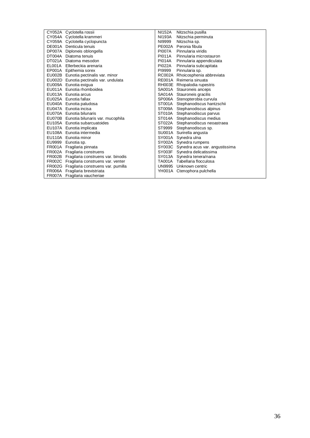| CY052A Cyclotella rossii                  | NI152A        | Nitzschia pusilla                     |
|-------------------------------------------|---------------|---------------------------------------|
| CY054A Cyclotella krammeri                | NI193A        | Nitzschia perminuta                   |
| CY059A Cyclotella cyclopuncta             | NI9999        | Nitzschia sp.                         |
| DE001A Denticula tenuis                   |               | PE002A Peronia fibula                 |
| DP007A Diploneis oblongella               | <b>PI007A</b> | Pinnularia viridis                    |
| DT004A Diatoma tenuis                     |               | PI011A Pinnularia microstauron        |
| DT021A Diatoma mesodon                    |               | PI014A Pinnularia appendiculata       |
| EL001A Ellerbeckia arenaria               | <b>PI022A</b> | Pinnularia subcapitata                |
| EP001A Epithemia sorex                    | PI9999        | Pinnularia sp.                        |
| EU002B Eunotia pectinalis var. minor      |               | RC002A Rhoicosphenia abbreviata       |
| EU002D Eunotia pectinalis var. undulata   |               | RE001A Reimeria sinuata               |
| EU009A Eunotia exigua                     |               | RH003E Rhopalodia rupestris           |
| EU011A Eunotia rhomboidea                 |               | SA001A Stauroneis anceps              |
| EU013A Eunotia arcus                      |               | SA014A Stauroneis gracilis            |
| EU025A Eunotia fallax                     |               | SP006A Stenopterobia curvula          |
| EU040A Eunotia paludosa                   |               | ST001A Stephanodiscus hantzschii      |
| EU047A Eunotia incisa                     |               | ST009A Stephanodiscus alpinus         |
| EU070A Eunotia bilunaris                  |               | ST010A Stephanodiscus parvus          |
| EU070B Eunotia bilunaris var. mucophila   |               | ST014A Stephanodiscus medius          |
| EU105A Eunotia subarcuatoides             |               | ST022A Stephanodiscus neoastraea      |
| EU107A Eunotia implicata                  |               | ST9999 Stephanodiscus sp.             |
| EU108A Eunotia intermedia                 |               | SU001A Surirella angusta              |
| EU110A Eunotia minor                      |               | SY001A Synedra ulna                   |
| EU9999 Eunotia sp.                        |               | SY002A Synedra rumpens                |
| FR001A Fragilaria pinnata                 |               | SY003C Synedra acus var. angustissima |
| FR002A Fragilaria construens              |               | SY003F Synedra delicatissima          |
| FR002B Fragilaria construens var. binodis |               | SY013A Synedra tenera/nana            |
| FR002C Fragilaria construens var. venter  |               | TA001A Tabellaria flocculosa          |
| FR002G Fragilaria construens var. pumilla |               | UN9995 Unknown centric                |
| FR006A Fragilaria brevistriata            |               | YH001A Ctenophora pulchella           |
| FR007A Fragilaria vaucheriae              |               |                                       |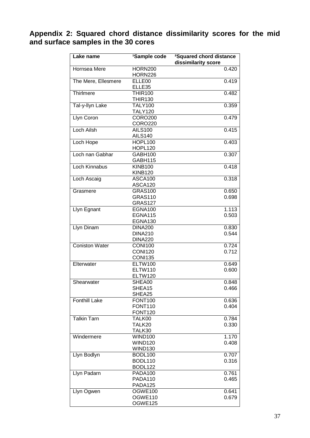### **Appendix 2: Squared chord distance dissimilarity scores for the mid and surface samples in the 30 cores**

| Lake name             | <sup>1</sup> Sample code | <sup>2</sup> Squared chord distance<br>dissimilarity score |
|-----------------------|--------------------------|------------------------------------------------------------|
|                       |                          |                                                            |
| Hornsea Mere          | <b>HORN200</b>           | 0.420                                                      |
|                       | <b>HORN226</b>           | 0.419                                                      |
| The Mere, Ellesmere   | ELLE <sub>00</sub>       |                                                            |
|                       | ELLE35                   |                                                            |
| Thirlmere             | <b>THIR100</b>           | 0.482                                                      |
|                       | <b>THIR130</b>           |                                                            |
| Tal-y-llyn Lake       | <b>TALY100</b>           | 0.359                                                      |
|                       | <b>TALY120</b>           |                                                            |
| Llyn Coron            | <b>CORO200</b>           | 0.479                                                      |
|                       | <b>CORO220</b>           |                                                            |
| Loch Ailsh            | <b>AILS100</b>           | 0.415                                                      |
|                       | <b>AILS140</b>           |                                                            |
| Loch Hope             | <b>HOPL100</b>           | 0.403                                                      |
|                       | HOPL120                  |                                                            |
| Loch nan Gabhar       | GABH100                  | 0.307                                                      |
|                       | GABH115                  |                                                            |
| <b>Loch Kinnabus</b>  | <b>KINB100</b>           | 0.418                                                      |
|                       | <b>KINB120</b>           |                                                            |
| Loch Ascaig           | ASCA100                  | 0.318                                                      |
|                       | ASCA120                  |                                                            |
| Grasmere              | <b>GRAS100</b>           | 0.650                                                      |
|                       | <b>GRAS110</b>           | 0.698                                                      |
|                       | <b>GRAS127</b>           |                                                            |
| Llyn Egnant           | EGNA100                  | 1.113                                                      |
|                       | <b>EGNA115</b>           | 0.503                                                      |
|                       | EGNA130                  |                                                            |
| Llyn Dinam            | <b>DINA200</b>           | 0.830                                                      |
|                       | <b>DINA210</b>           | 0.544                                                      |
|                       | <b>DINA220</b>           |                                                            |
| <b>Coniston Water</b> | <b>CONI100</b>           | 0.724                                                      |
|                       | <b>CONI120</b>           | 0.712                                                      |
|                       | <b>CONI135</b>           |                                                            |
| Elterwater            | <b>ELTW100</b>           | 0.649                                                      |
|                       | <b>ELTW110</b>           | 0.600                                                      |
|                       | <b>ELTW120</b>           |                                                            |
| Shearwater            | SHEA00                   | 0.848                                                      |
|                       | SHEA15                   | 0.466                                                      |
|                       | SHEA25                   |                                                            |
| <b>Fonthill Lake</b>  | <b>FONT100</b>           | 0.636                                                      |
|                       | <b>FONT110</b>           | 0.404                                                      |
|                       | <b>FONT120</b>           |                                                            |
| <b>Talkin Tarn</b>    | TALK00                   | 0.784                                                      |
|                       | TALK20                   | 0.330                                                      |
|                       | TALK30                   |                                                            |
| Windermere            | <b>WIND100</b>           | 1.170                                                      |
|                       | <b>WIND120</b>           | 0.408                                                      |
|                       | <b>WIND130</b>           |                                                            |
| Llyn Bodlyn           | BODL100                  | 0.707                                                      |
|                       | BODL110                  | 0.316                                                      |
|                       | BODL122                  |                                                            |
| Llyn Padarn           | PADA100                  | 0.761                                                      |
|                       | PADA110                  | 0.465                                                      |
|                       | PADA125                  |                                                            |
| Llyn Ogwen            | OGWE100                  | 0.641                                                      |
|                       | OGWE110                  | 0.679                                                      |
|                       | OGWE125                  |                                                            |